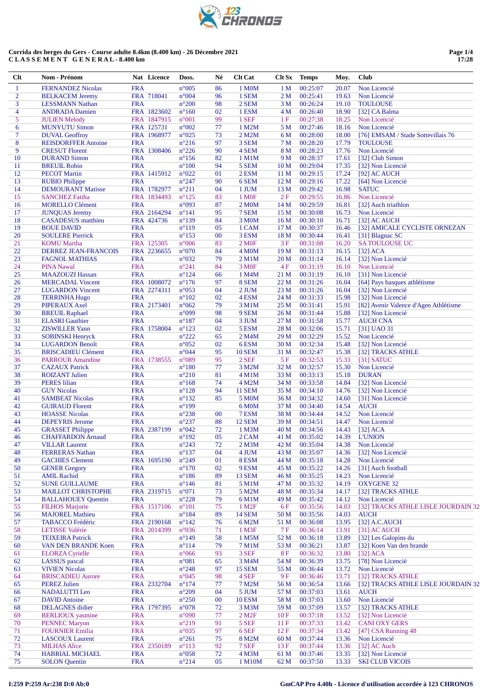|     | <b>EX 23</b><br>CHRONOS |
|-----|-------------------------|
| $-$ |                         |

| <b>FRA</b><br>$n^{\circ}005$<br>86<br>00:25:07<br>Non Licencié<br>$\mathbf{1}$<br><b>FERNANDEZ Nicolas</b><br>1 M <sub>0</sub> M<br>1 <sub>M</sub><br>20.07<br>$\overline{2}$<br>FRA 718041<br>n°004<br>96<br>1 SEM<br>2 <sub>M</sub><br>00:25:41<br>19.63<br>Non Licencié<br><b>BELKACEM Jeremy</b><br>3<br><b>FRA</b><br>$n^{\circ}200$<br>98<br>2 SEM<br>3 <sub>M</sub><br>00:26:24<br>19.10<br><b>TOULOUSE</b><br><b>LESSMANN Nathan</b><br>$\overline{4}$<br>FRA 1823602<br>02<br>1 ESM<br>00:26:40<br>18.90<br><b>ANDRADA</b> Damien<br>$n^{\circ}160$<br>4 M<br>[32] CA Balma<br>5<br>FRA 1847915<br>$n^{\circ}001$<br>99<br>1 SEF<br>00:27:38<br>18.25<br>Non Licencié<br><b>JULIEN Melody</b><br>1F<br>6<br>77<br>FRA 125731<br>n°002<br>00:27:46<br>18.16<br>Non Licencié<br><b>MUNYUTU Simon</b><br>1 M2M<br>5 M<br>$\overline{7}$<br>$n^{\circ}025$<br>73<br>00:28:00<br>18.00<br>[76] EMSAM / Stade Sottevillais 76<br><b>DUVAL Geoffroy</b><br>FRA 1968977<br>2 M2M<br>6 M<br>$\boldsymbol{8}$<br><b>FRA</b><br>$n^{\circ}216$<br>97<br>3 SEM<br>00:28:20<br>17.79<br><b>REISDORFFER Antoine</b><br>7 <sub>M</sub><br><b>TOULOUSE</b><br>9<br>FRA 1308406<br>$n^{\circ}226$<br>90<br>4 SEM<br>8 M<br>00:28:23<br>17.76<br>Non Licencié<br><b>CRESUT Florent</b><br>10<br>00:28:37<br><b>FRA</b><br>$n^{\circ}156$<br>82<br>1 M1M<br>9 M<br>17.61<br>[32] Club Simon<br><b>DURAND Simon</b><br>11<br><b>BREUIL Robin</b><br><b>FRA</b><br>$n^{\circ}100$<br>94<br>5 SEM<br>10 <sub>M</sub><br>00:29:04<br>17.35<br>[32] Non Licencié<br>12<br>FRA 1415912<br>$n^{\circ}022$<br>01<br>2 ESM<br>00:29:15<br>17.24<br><b>PECOT Martin</b><br>11 M<br>[92] AC AUCH<br>13<br>90<br><b>FRA</b><br>$n^{\circ}247$<br>00:29:16<br>17.22<br><b>RUBIO Philippe</b><br>6 SEM<br>12 <sub>M</sub><br>[64] Non Licencié<br>14<br><b>DEMOURANT Matisse</b><br>FRA 1782977<br>$n^{\circ}211$<br>04<br>00:29:42<br>16.98<br><b>SATUC</b><br>1 JUM<br>13 M<br>15<br><b>SANCHEZ Fatiha</b><br>FRA 1834493<br>$n^{\circ}125$<br>83<br>1 M <sub>OF</sub><br>2F<br>00:29:55<br>16.86<br>Non Licencié<br>16<br>87<br>00:29:59<br><b>FRA</b><br>n°093<br>2 M <sub>0</sub> M<br>14 M<br>16.81<br><b>MORELLO Clément</b><br>[32] Auch triathlon<br>17<br>FRA 2164294<br>$n^{\circ}141$<br>95<br>7 SEM<br>00:30:08<br>16.73<br><b>JUNQUAS Jeremy</b><br>15 M<br>Non Licencié<br>18<br>84<br><b>CASADESUS</b> matthieu<br>FRA 424736<br>$n^{\circ}139$<br>3 M0M<br>16 M<br>00:30:10<br>16.71<br>[32] AC AUCH<br>19<br><b>FRA</b><br>$n^{\circ}119$<br>05<br>00:30:37<br><b>BOUE DAVID</b><br>1 CAM<br>17 <sub>M</sub><br>16.46<br>[32] AMICALE CYCLISTE ORNEZAN<br>20<br><b>FRA</b><br>$n^{\circ}153$<br>00<br>3 ESM<br>00:30:44<br><b>SOULERE Pierrick</b><br>18 M<br>16.41<br>[31] Blagnac SC<br>21<br>FRA 125305<br>$n^{\circ}006$<br>83<br>2 M <sub>OF</sub><br>3F<br>00:31:08<br>16.20<br><b>SATOULOUSE UC</b><br><b>KOMU</b> Martha<br>22<br>FRA 2236655<br>$n^{\circ}070$<br>84<br>00:31:13<br>16.15<br>DERREZ JEAN-FRANCOIS<br>4 M <sub>0</sub> M<br>19 <sub>M</sub><br>$[32]$ ACA<br>23<br><b>FRA</b><br>n°032<br>79<br>2 M1M<br>20 M<br>00:31:14<br>16.14<br>[32] Non Licencié<br><b>FAGNOL MATHIAS</b><br>24<br>84<br><b>FRA</b><br>$n^{\circ}241$<br>3 M <sub>OF</sub><br>4F<br>00:31:19<br>16.10<br>Non Licencié<br><b>PINA Nawal</b><br>25<br><b>FRA</b><br>$n^{\circ}124$<br>66<br>00:31:19<br>[31] Non Licencié<br><b>MAAZOUZI Hassan</b><br>1 M4M<br>21 M<br>16.10<br>26<br>FRA 1008072<br>$n^{\circ}176$<br>97<br>8 SEM<br>22 M<br>00:31:26<br>16.04<br>[64] Pays basques athlétisme<br><b>MERCADAL Vincent</b><br>27<br>FRA 2274311<br>$n^{\circ}053$<br>04<br>2 JUM<br>23 M<br>00:31:26<br>16.04<br>[32] Non Licencié<br><b>LUGARDON Vincent</b><br>28<br><b>FRA</b><br>$n^{\circ}102$<br>02<br>4 ESM<br>24 M<br>00:31:33<br>15.98<br>[32] Non Licencié<br><b>TERRINHA Hugo</b><br>29<br>79<br>FRA 2173401<br>$n^{\circ}062$<br>3 M1M<br>25 M<br>00:31:41<br>15.91<br>[82] Avenir Valence d'Agen Athlétisme<br>PIPERAUX Axel<br>30<br>98<br>00:31:44<br><b>FRA</b><br>n°099<br>9 SEM<br>26 M<br>15.88<br><b>BREUIL Raphael</b><br>[32] Non Licencié<br>31<br><b>FRA</b><br>$n^{\circ}187$<br>04<br>27 M<br>00:31:58<br>15.77<br><b>ELASRI</b> Gauthier<br>3 JUM<br><b>AUCH CNA</b><br>32<br>FRA 1758004<br>$n^{\circ}123$<br>02<br>00:32:06<br>15.71<br><b>ZISWILLER Yann</b><br>5 ESM<br>28 M<br>[31] UAO 31<br>33<br>$n^{\circ}222$<br>00:32:29<br><b>FRA</b><br>2 M4M<br>29 M<br>15.52<br>Non Licencié<br><b>SOBINSKI Henryck</b><br>65<br>34<br><b>FRA</b><br>$n^{\circ}052$<br>02<br>6ESM<br>30 M<br>00:32:34<br>15.48<br>[32] Non Licencié<br><b>LUGARDON Benoît</b><br>35<br><b>FRA</b><br>n°044<br>95<br>00:32:47<br>15.38<br><b>BRISCADIEU Clément</b><br><b>10 SEM</b><br>31 M<br>[32] TRACKS ATHLE<br>36<br>FRA 1738555<br>$n^{\circ}089$<br>95<br>2 SEF<br>5F<br>00:32:53<br>15.33<br><b>PARROUR Amandine</b><br>$[31]$ SATUC<br>37<br>77<br><b>FRA</b><br>$n^{\circ}180$<br>32 M<br>00:32:57<br>15.30<br>Non Licencié<br><b>CAZAUX</b> Patrick<br>3 M2M<br>38<br><b>FRA</b><br>$n^{\circ}210$<br>81<br>00:33:13<br><b>DURAN</b><br><b>ROIZANT Julien</b><br>$4$ M $1$ M<br>33 M<br>15.18<br>39<br><b>PERES</b> lilian<br><b>FRA</b><br>74<br>4 M2M<br>00:33:58<br>14.84<br>[32] Non Licencié<br>$n^{\circ}168$<br>34 M<br>40<br><b>GUY Nicolas</b><br><b>FRA</b><br>$n^{\circ}128$<br>94<br><b>11 SEM</b><br>35 M<br>00:34:10<br>14.76<br>[32] Non Licencié<br>41<br><b>FRA</b><br>$n^{\circ}132$<br>85<br>00:34:32<br>14.60<br>[31] Non Licencié<br><b>SAMBEAT Nicolas</b><br>5 M0M<br>36 M<br>42<br><b>FRA</b><br>$n^{\circ}199$<br>37 M<br>00:34:40<br>14.54<br><b>AUCH</b><br><b>GUIRAUD Florent</b><br>6 M <sub>0</sub> M<br>43<br><b>FRA</b><br>$n^{\circ}238$<br>00<br>7 ESM<br>00:34:44<br>14.52<br>Non Licencié<br><b>HOASSE</b> Nicolas<br>38 M<br>44<br><b>FRA</b><br>$n^{\circ}237$<br>88<br>00:34:51<br>14.47<br>Non Licencié<br><b>DEPEYRIS Jerome</b><br><b>12 SEM</b><br>39 M<br>45<br>FRA 2387199<br>n°042<br>72<br>00:34:56<br>14.43<br><b>GRASSET Philippe</b><br>1 M3M<br>40 M<br>$[32]$ ACA<br>46<br>$n^{\circ}192$<br>05<br>00:35:02<br>14.39<br><b>CHAFFARDON Arnaud</b><br><b>FRA</b><br>2 CAM<br>41 M<br><b>L'UNION</b><br><b>FRA</b><br>47<br><b>VILLAR Laurent</b><br>$n^{\circ}243$<br>72<br>2 M <sub>3</sub> M<br>00:35:04<br>14.38<br>Non Licencié<br>42 M<br>48<br><b>FERRERAS</b> Nathan<br><b>FRA</b><br>$n^{\circ}$ 137<br>04<br>4 JUM<br>00:35:07<br>14.36<br>[32] Non Licencié<br>43 M<br>49<br>FRA 1695190<br>$n^{\circ}249$<br>01<br>8 ESM<br>00:35:18<br>14.28<br>Non Licencié<br><b>GACHIES Clement</b><br>44 M<br>$n^{\circ}170$<br>50<br><b>GENER Gregory</b><br><b>FRA</b><br>02<br>9 ESM<br>00:35:22<br>14.26<br>[31] Auch football<br>45 M<br>51<br><b>AMIL Rachid</b><br><b>FRA</b><br>$n^{\circ}186$<br>89<br><b>13 SEM</b><br>00:35:25<br>14.23<br>Non Licencié<br>46 M<br>52<br><b>SUNE GUILLAUME</b><br><b>FRA</b><br>$n^{\circ}$ 146<br>5 M1M<br>00:35:32<br>14.19<br><b>OXYGENE 32</b><br>81<br>47 M |  |
|----------------------------------------------------------------------------------------------------------------------------------------------------------------------------------------------------------------------------------------------------------------------------------------------------------------------------------------------------------------------------------------------------------------------------------------------------------------------------------------------------------------------------------------------------------------------------------------------------------------------------------------------------------------------------------------------------------------------------------------------------------------------------------------------------------------------------------------------------------------------------------------------------------------------------------------------------------------------------------------------------------------------------------------------------------------------------------------------------------------------------------------------------------------------------------------------------------------------------------------------------------------------------------------------------------------------------------------------------------------------------------------------------------------------------------------------------------------------------------------------------------------------------------------------------------------------------------------------------------------------------------------------------------------------------------------------------------------------------------------------------------------------------------------------------------------------------------------------------------------------------------------------------------------------------------------------------------------------------------------------------------------------------------------------------------------------------------------------------------------------------------------------------------------------------------------------------------------------------------------------------------------------------------------------------------------------------------------------------------------------------------------------------------------------------------------------------------------------------------------------------------------------------------------------------------------------------------------------------------------------------------------------------------------------------------------------------------------------------------------------------------------------------------------------------------------------------------------------------------------------------------------------------------------------------------------------------------------------------------------------------------------------------------------------------------------------------------------------------------------------------------------------------------------------------------------------------------------------------------------------------------------------------------------------------------------------------------------------------------------------------------------------------------------------------------------------------------------------------------------------------------------------------------------------------------------------------------------------------------------------------------------------------------------------------------------------------------------------------------------------------------------------------------------------------------------------------------------------------------------------------------------------------------------------------------------------------------------------------------------------------------------------------------------------------------------------------------------------------------------------------------------------------------------------------------------------------------------------------------------------------------------------------------------------------------------------------------------------------------------------------------------------------------------------------------------------------------------------------------------------------------------------------------------------------------------------------------------------------------------------------------------------------------------------------------------------------------------------------------------------------------------------------------------------------------------------------------------------------------------------------------------------------------------------------------------------------------------------------------------------------------------------------------------------------------------------------------------------------------------------------------------------------------------------------------------------------------------------------------------------------------------------------------------------------------------------------------------------------------------------------------------------------------------------------------------------------------------------------------------------------------------------------------------------------------------------------------------------------------------------------------------------------------------------------------------------------------------------------------------------------------------------------------------------------------------------------------------------------------------------------------------------------------------------------------------------------------------------------------------------------------------------------------------------------------------------------------------------------------------------------------------------------------------------------------------------------------------------------------------------------------------------------------------------------------------------------------------------------------------------------------------------------------------------------------------------------------------------------------------------------------------------------------------------------------------------------------------------------------------------------------------------------------------------------------------------------------------------------------------------------------------------------------------------------------------------------------------------------------------------------------------------------------------------------------------------------------------------------------------------------------------------------------------------------------------------------|--|
|                                                                                                                                                                                                                                                                                                                                                                                                                                                                                                                                                                                                                                                                                                                                                                                                                                                                                                                                                                                                                                                                                                                                                                                                                                                                                                                                                                                                                                                                                                                                                                                                                                                                                                                                                                                                                                                                                                                                                                                                                                                                                                                                                                                                                                                                                                                                                                                                                                                                                                                                                                                                                                                                                                                                                                                                                                                                                                                                                                                                                                                                                                                                                                                                                                                                                                                                                                                                                                                                                                                                                                                                                                                                                                                                                                                                                                                                                                                                                                                                                                                                                                                                                                                                                                                                                                                                                                                                                                                                                                                                                                                                                                                                                                                                                                                                                                                                                                                                                                                                                                                                                                                                                                                                                                                                                                                                                                                                                                                                                                                                                                                                                                                                                                                                                                                                                                                                                                                                                                                                                                                                                                                                                                                                                                                                                                                                                                                                                                                                                                                                                                                                                                                                                                                                                                                                                                                                                                                                                                                                                                                                            |  |
|                                                                                                                                                                                                                                                                                                                                                                                                                                                                                                                                                                                                                                                                                                                                                                                                                                                                                                                                                                                                                                                                                                                                                                                                                                                                                                                                                                                                                                                                                                                                                                                                                                                                                                                                                                                                                                                                                                                                                                                                                                                                                                                                                                                                                                                                                                                                                                                                                                                                                                                                                                                                                                                                                                                                                                                                                                                                                                                                                                                                                                                                                                                                                                                                                                                                                                                                                                                                                                                                                                                                                                                                                                                                                                                                                                                                                                                                                                                                                                                                                                                                                                                                                                                                                                                                                                                                                                                                                                                                                                                                                                                                                                                                                                                                                                                                                                                                                                                                                                                                                                                                                                                                                                                                                                                                                                                                                                                                                                                                                                                                                                                                                                                                                                                                                                                                                                                                                                                                                                                                                                                                                                                                                                                                                                                                                                                                                                                                                                                                                                                                                                                                                                                                                                                                                                                                                                                                                                                                                                                                                                                                            |  |
|                                                                                                                                                                                                                                                                                                                                                                                                                                                                                                                                                                                                                                                                                                                                                                                                                                                                                                                                                                                                                                                                                                                                                                                                                                                                                                                                                                                                                                                                                                                                                                                                                                                                                                                                                                                                                                                                                                                                                                                                                                                                                                                                                                                                                                                                                                                                                                                                                                                                                                                                                                                                                                                                                                                                                                                                                                                                                                                                                                                                                                                                                                                                                                                                                                                                                                                                                                                                                                                                                                                                                                                                                                                                                                                                                                                                                                                                                                                                                                                                                                                                                                                                                                                                                                                                                                                                                                                                                                                                                                                                                                                                                                                                                                                                                                                                                                                                                                                                                                                                                                                                                                                                                                                                                                                                                                                                                                                                                                                                                                                                                                                                                                                                                                                                                                                                                                                                                                                                                                                                                                                                                                                                                                                                                                                                                                                                                                                                                                                                                                                                                                                                                                                                                                                                                                                                                                                                                                                                                                                                                                                                            |  |
|                                                                                                                                                                                                                                                                                                                                                                                                                                                                                                                                                                                                                                                                                                                                                                                                                                                                                                                                                                                                                                                                                                                                                                                                                                                                                                                                                                                                                                                                                                                                                                                                                                                                                                                                                                                                                                                                                                                                                                                                                                                                                                                                                                                                                                                                                                                                                                                                                                                                                                                                                                                                                                                                                                                                                                                                                                                                                                                                                                                                                                                                                                                                                                                                                                                                                                                                                                                                                                                                                                                                                                                                                                                                                                                                                                                                                                                                                                                                                                                                                                                                                                                                                                                                                                                                                                                                                                                                                                                                                                                                                                                                                                                                                                                                                                                                                                                                                                                                                                                                                                                                                                                                                                                                                                                                                                                                                                                                                                                                                                                                                                                                                                                                                                                                                                                                                                                                                                                                                                                                                                                                                                                                                                                                                                                                                                                                                                                                                                                                                                                                                                                                                                                                                                                                                                                                                                                                                                                                                                                                                                                                            |  |
|                                                                                                                                                                                                                                                                                                                                                                                                                                                                                                                                                                                                                                                                                                                                                                                                                                                                                                                                                                                                                                                                                                                                                                                                                                                                                                                                                                                                                                                                                                                                                                                                                                                                                                                                                                                                                                                                                                                                                                                                                                                                                                                                                                                                                                                                                                                                                                                                                                                                                                                                                                                                                                                                                                                                                                                                                                                                                                                                                                                                                                                                                                                                                                                                                                                                                                                                                                                                                                                                                                                                                                                                                                                                                                                                                                                                                                                                                                                                                                                                                                                                                                                                                                                                                                                                                                                                                                                                                                                                                                                                                                                                                                                                                                                                                                                                                                                                                                                                                                                                                                                                                                                                                                                                                                                                                                                                                                                                                                                                                                                                                                                                                                                                                                                                                                                                                                                                                                                                                                                                                                                                                                                                                                                                                                                                                                                                                                                                                                                                                                                                                                                                                                                                                                                                                                                                                                                                                                                                                                                                                                                                            |  |
|                                                                                                                                                                                                                                                                                                                                                                                                                                                                                                                                                                                                                                                                                                                                                                                                                                                                                                                                                                                                                                                                                                                                                                                                                                                                                                                                                                                                                                                                                                                                                                                                                                                                                                                                                                                                                                                                                                                                                                                                                                                                                                                                                                                                                                                                                                                                                                                                                                                                                                                                                                                                                                                                                                                                                                                                                                                                                                                                                                                                                                                                                                                                                                                                                                                                                                                                                                                                                                                                                                                                                                                                                                                                                                                                                                                                                                                                                                                                                                                                                                                                                                                                                                                                                                                                                                                                                                                                                                                                                                                                                                                                                                                                                                                                                                                                                                                                                                                                                                                                                                                                                                                                                                                                                                                                                                                                                                                                                                                                                                                                                                                                                                                                                                                                                                                                                                                                                                                                                                                                                                                                                                                                                                                                                                                                                                                                                                                                                                                                                                                                                                                                                                                                                                                                                                                                                                                                                                                                                                                                                                                                            |  |
|                                                                                                                                                                                                                                                                                                                                                                                                                                                                                                                                                                                                                                                                                                                                                                                                                                                                                                                                                                                                                                                                                                                                                                                                                                                                                                                                                                                                                                                                                                                                                                                                                                                                                                                                                                                                                                                                                                                                                                                                                                                                                                                                                                                                                                                                                                                                                                                                                                                                                                                                                                                                                                                                                                                                                                                                                                                                                                                                                                                                                                                                                                                                                                                                                                                                                                                                                                                                                                                                                                                                                                                                                                                                                                                                                                                                                                                                                                                                                                                                                                                                                                                                                                                                                                                                                                                                                                                                                                                                                                                                                                                                                                                                                                                                                                                                                                                                                                                                                                                                                                                                                                                                                                                                                                                                                                                                                                                                                                                                                                                                                                                                                                                                                                                                                                                                                                                                                                                                                                                                                                                                                                                                                                                                                                                                                                                                                                                                                                                                                                                                                                                                                                                                                                                                                                                                                                                                                                                                                                                                                                                                            |  |
|                                                                                                                                                                                                                                                                                                                                                                                                                                                                                                                                                                                                                                                                                                                                                                                                                                                                                                                                                                                                                                                                                                                                                                                                                                                                                                                                                                                                                                                                                                                                                                                                                                                                                                                                                                                                                                                                                                                                                                                                                                                                                                                                                                                                                                                                                                                                                                                                                                                                                                                                                                                                                                                                                                                                                                                                                                                                                                                                                                                                                                                                                                                                                                                                                                                                                                                                                                                                                                                                                                                                                                                                                                                                                                                                                                                                                                                                                                                                                                                                                                                                                                                                                                                                                                                                                                                                                                                                                                                                                                                                                                                                                                                                                                                                                                                                                                                                                                                                                                                                                                                                                                                                                                                                                                                                                                                                                                                                                                                                                                                                                                                                                                                                                                                                                                                                                                                                                                                                                                                                                                                                                                                                                                                                                                                                                                                                                                                                                                                                                                                                                                                                                                                                                                                                                                                                                                                                                                                                                                                                                                                                            |  |
|                                                                                                                                                                                                                                                                                                                                                                                                                                                                                                                                                                                                                                                                                                                                                                                                                                                                                                                                                                                                                                                                                                                                                                                                                                                                                                                                                                                                                                                                                                                                                                                                                                                                                                                                                                                                                                                                                                                                                                                                                                                                                                                                                                                                                                                                                                                                                                                                                                                                                                                                                                                                                                                                                                                                                                                                                                                                                                                                                                                                                                                                                                                                                                                                                                                                                                                                                                                                                                                                                                                                                                                                                                                                                                                                                                                                                                                                                                                                                                                                                                                                                                                                                                                                                                                                                                                                                                                                                                                                                                                                                                                                                                                                                                                                                                                                                                                                                                                                                                                                                                                                                                                                                                                                                                                                                                                                                                                                                                                                                                                                                                                                                                                                                                                                                                                                                                                                                                                                                                                                                                                                                                                                                                                                                                                                                                                                                                                                                                                                                                                                                                                                                                                                                                                                                                                                                                                                                                                                                                                                                                                                            |  |
|                                                                                                                                                                                                                                                                                                                                                                                                                                                                                                                                                                                                                                                                                                                                                                                                                                                                                                                                                                                                                                                                                                                                                                                                                                                                                                                                                                                                                                                                                                                                                                                                                                                                                                                                                                                                                                                                                                                                                                                                                                                                                                                                                                                                                                                                                                                                                                                                                                                                                                                                                                                                                                                                                                                                                                                                                                                                                                                                                                                                                                                                                                                                                                                                                                                                                                                                                                                                                                                                                                                                                                                                                                                                                                                                                                                                                                                                                                                                                                                                                                                                                                                                                                                                                                                                                                                                                                                                                                                                                                                                                                                                                                                                                                                                                                                                                                                                                                                                                                                                                                                                                                                                                                                                                                                                                                                                                                                                                                                                                                                                                                                                                                                                                                                                                                                                                                                                                                                                                                                                                                                                                                                                                                                                                                                                                                                                                                                                                                                                                                                                                                                                                                                                                                                                                                                                                                                                                                                                                                                                                                                                            |  |
|                                                                                                                                                                                                                                                                                                                                                                                                                                                                                                                                                                                                                                                                                                                                                                                                                                                                                                                                                                                                                                                                                                                                                                                                                                                                                                                                                                                                                                                                                                                                                                                                                                                                                                                                                                                                                                                                                                                                                                                                                                                                                                                                                                                                                                                                                                                                                                                                                                                                                                                                                                                                                                                                                                                                                                                                                                                                                                                                                                                                                                                                                                                                                                                                                                                                                                                                                                                                                                                                                                                                                                                                                                                                                                                                                                                                                                                                                                                                                                                                                                                                                                                                                                                                                                                                                                                                                                                                                                                                                                                                                                                                                                                                                                                                                                                                                                                                                                                                                                                                                                                                                                                                                                                                                                                                                                                                                                                                                                                                                                                                                                                                                                                                                                                                                                                                                                                                                                                                                                                                                                                                                                                                                                                                                                                                                                                                                                                                                                                                                                                                                                                                                                                                                                                                                                                                                                                                                                                                                                                                                                                                            |  |
|                                                                                                                                                                                                                                                                                                                                                                                                                                                                                                                                                                                                                                                                                                                                                                                                                                                                                                                                                                                                                                                                                                                                                                                                                                                                                                                                                                                                                                                                                                                                                                                                                                                                                                                                                                                                                                                                                                                                                                                                                                                                                                                                                                                                                                                                                                                                                                                                                                                                                                                                                                                                                                                                                                                                                                                                                                                                                                                                                                                                                                                                                                                                                                                                                                                                                                                                                                                                                                                                                                                                                                                                                                                                                                                                                                                                                                                                                                                                                                                                                                                                                                                                                                                                                                                                                                                                                                                                                                                                                                                                                                                                                                                                                                                                                                                                                                                                                                                                                                                                                                                                                                                                                                                                                                                                                                                                                                                                                                                                                                                                                                                                                                                                                                                                                                                                                                                                                                                                                                                                                                                                                                                                                                                                                                                                                                                                                                                                                                                                                                                                                                                                                                                                                                                                                                                                                                                                                                                                                                                                                                                                            |  |
|                                                                                                                                                                                                                                                                                                                                                                                                                                                                                                                                                                                                                                                                                                                                                                                                                                                                                                                                                                                                                                                                                                                                                                                                                                                                                                                                                                                                                                                                                                                                                                                                                                                                                                                                                                                                                                                                                                                                                                                                                                                                                                                                                                                                                                                                                                                                                                                                                                                                                                                                                                                                                                                                                                                                                                                                                                                                                                                                                                                                                                                                                                                                                                                                                                                                                                                                                                                                                                                                                                                                                                                                                                                                                                                                                                                                                                                                                                                                                                                                                                                                                                                                                                                                                                                                                                                                                                                                                                                                                                                                                                                                                                                                                                                                                                                                                                                                                                                                                                                                                                                                                                                                                                                                                                                                                                                                                                                                                                                                                                                                                                                                                                                                                                                                                                                                                                                                                                                                                                                                                                                                                                                                                                                                                                                                                                                                                                                                                                                                                                                                                                                                                                                                                                                                                                                                                                                                                                                                                                                                                                                                            |  |
|                                                                                                                                                                                                                                                                                                                                                                                                                                                                                                                                                                                                                                                                                                                                                                                                                                                                                                                                                                                                                                                                                                                                                                                                                                                                                                                                                                                                                                                                                                                                                                                                                                                                                                                                                                                                                                                                                                                                                                                                                                                                                                                                                                                                                                                                                                                                                                                                                                                                                                                                                                                                                                                                                                                                                                                                                                                                                                                                                                                                                                                                                                                                                                                                                                                                                                                                                                                                                                                                                                                                                                                                                                                                                                                                                                                                                                                                                                                                                                                                                                                                                                                                                                                                                                                                                                                                                                                                                                                                                                                                                                                                                                                                                                                                                                                                                                                                                                                                                                                                                                                                                                                                                                                                                                                                                                                                                                                                                                                                                                                                                                                                                                                                                                                                                                                                                                                                                                                                                                                                                                                                                                                                                                                                                                                                                                                                                                                                                                                                                                                                                                                                                                                                                                                                                                                                                                                                                                                                                                                                                                                                            |  |
|                                                                                                                                                                                                                                                                                                                                                                                                                                                                                                                                                                                                                                                                                                                                                                                                                                                                                                                                                                                                                                                                                                                                                                                                                                                                                                                                                                                                                                                                                                                                                                                                                                                                                                                                                                                                                                                                                                                                                                                                                                                                                                                                                                                                                                                                                                                                                                                                                                                                                                                                                                                                                                                                                                                                                                                                                                                                                                                                                                                                                                                                                                                                                                                                                                                                                                                                                                                                                                                                                                                                                                                                                                                                                                                                                                                                                                                                                                                                                                                                                                                                                                                                                                                                                                                                                                                                                                                                                                                                                                                                                                                                                                                                                                                                                                                                                                                                                                                                                                                                                                                                                                                                                                                                                                                                                                                                                                                                                                                                                                                                                                                                                                                                                                                                                                                                                                                                                                                                                                                                                                                                                                                                                                                                                                                                                                                                                                                                                                                                                                                                                                                                                                                                                                                                                                                                                                                                                                                                                                                                                                                                            |  |
|                                                                                                                                                                                                                                                                                                                                                                                                                                                                                                                                                                                                                                                                                                                                                                                                                                                                                                                                                                                                                                                                                                                                                                                                                                                                                                                                                                                                                                                                                                                                                                                                                                                                                                                                                                                                                                                                                                                                                                                                                                                                                                                                                                                                                                                                                                                                                                                                                                                                                                                                                                                                                                                                                                                                                                                                                                                                                                                                                                                                                                                                                                                                                                                                                                                                                                                                                                                                                                                                                                                                                                                                                                                                                                                                                                                                                                                                                                                                                                                                                                                                                                                                                                                                                                                                                                                                                                                                                                                                                                                                                                                                                                                                                                                                                                                                                                                                                                                                                                                                                                                                                                                                                                                                                                                                                                                                                                                                                                                                                                                                                                                                                                                                                                                                                                                                                                                                                                                                                                                                                                                                                                                                                                                                                                                                                                                                                                                                                                                                                                                                                                                                                                                                                                                                                                                                                                                                                                                                                                                                                                                                            |  |
|                                                                                                                                                                                                                                                                                                                                                                                                                                                                                                                                                                                                                                                                                                                                                                                                                                                                                                                                                                                                                                                                                                                                                                                                                                                                                                                                                                                                                                                                                                                                                                                                                                                                                                                                                                                                                                                                                                                                                                                                                                                                                                                                                                                                                                                                                                                                                                                                                                                                                                                                                                                                                                                                                                                                                                                                                                                                                                                                                                                                                                                                                                                                                                                                                                                                                                                                                                                                                                                                                                                                                                                                                                                                                                                                                                                                                                                                                                                                                                                                                                                                                                                                                                                                                                                                                                                                                                                                                                                                                                                                                                                                                                                                                                                                                                                                                                                                                                                                                                                                                                                                                                                                                                                                                                                                                                                                                                                                                                                                                                                                                                                                                                                                                                                                                                                                                                                                                                                                                                                                                                                                                                                                                                                                                                                                                                                                                                                                                                                                                                                                                                                                                                                                                                                                                                                                                                                                                                                                                                                                                                                                            |  |
|                                                                                                                                                                                                                                                                                                                                                                                                                                                                                                                                                                                                                                                                                                                                                                                                                                                                                                                                                                                                                                                                                                                                                                                                                                                                                                                                                                                                                                                                                                                                                                                                                                                                                                                                                                                                                                                                                                                                                                                                                                                                                                                                                                                                                                                                                                                                                                                                                                                                                                                                                                                                                                                                                                                                                                                                                                                                                                                                                                                                                                                                                                                                                                                                                                                                                                                                                                                                                                                                                                                                                                                                                                                                                                                                                                                                                                                                                                                                                                                                                                                                                                                                                                                                                                                                                                                                                                                                                                                                                                                                                                                                                                                                                                                                                                                                                                                                                                                                                                                                                                                                                                                                                                                                                                                                                                                                                                                                                                                                                                                                                                                                                                                                                                                                                                                                                                                                                                                                                                                                                                                                                                                                                                                                                                                                                                                                                                                                                                                                                                                                                                                                                                                                                                                                                                                                                                                                                                                                                                                                                                                                            |  |
|                                                                                                                                                                                                                                                                                                                                                                                                                                                                                                                                                                                                                                                                                                                                                                                                                                                                                                                                                                                                                                                                                                                                                                                                                                                                                                                                                                                                                                                                                                                                                                                                                                                                                                                                                                                                                                                                                                                                                                                                                                                                                                                                                                                                                                                                                                                                                                                                                                                                                                                                                                                                                                                                                                                                                                                                                                                                                                                                                                                                                                                                                                                                                                                                                                                                                                                                                                                                                                                                                                                                                                                                                                                                                                                                                                                                                                                                                                                                                                                                                                                                                                                                                                                                                                                                                                                                                                                                                                                                                                                                                                                                                                                                                                                                                                                                                                                                                                                                                                                                                                                                                                                                                                                                                                                                                                                                                                                                                                                                                                                                                                                                                                                                                                                                                                                                                                                                                                                                                                                                                                                                                                                                                                                                                                                                                                                                                                                                                                                                                                                                                                                                                                                                                                                                                                                                                                                                                                                                                                                                                                                                            |  |
|                                                                                                                                                                                                                                                                                                                                                                                                                                                                                                                                                                                                                                                                                                                                                                                                                                                                                                                                                                                                                                                                                                                                                                                                                                                                                                                                                                                                                                                                                                                                                                                                                                                                                                                                                                                                                                                                                                                                                                                                                                                                                                                                                                                                                                                                                                                                                                                                                                                                                                                                                                                                                                                                                                                                                                                                                                                                                                                                                                                                                                                                                                                                                                                                                                                                                                                                                                                                                                                                                                                                                                                                                                                                                                                                                                                                                                                                                                                                                                                                                                                                                                                                                                                                                                                                                                                                                                                                                                                                                                                                                                                                                                                                                                                                                                                                                                                                                                                                                                                                                                                                                                                                                                                                                                                                                                                                                                                                                                                                                                                                                                                                                                                                                                                                                                                                                                                                                                                                                                                                                                                                                                                                                                                                                                                                                                                                                                                                                                                                                                                                                                                                                                                                                                                                                                                                                                                                                                                                                                                                                                                                            |  |
|                                                                                                                                                                                                                                                                                                                                                                                                                                                                                                                                                                                                                                                                                                                                                                                                                                                                                                                                                                                                                                                                                                                                                                                                                                                                                                                                                                                                                                                                                                                                                                                                                                                                                                                                                                                                                                                                                                                                                                                                                                                                                                                                                                                                                                                                                                                                                                                                                                                                                                                                                                                                                                                                                                                                                                                                                                                                                                                                                                                                                                                                                                                                                                                                                                                                                                                                                                                                                                                                                                                                                                                                                                                                                                                                                                                                                                                                                                                                                                                                                                                                                                                                                                                                                                                                                                                                                                                                                                                                                                                                                                                                                                                                                                                                                                                                                                                                                                                                                                                                                                                                                                                                                                                                                                                                                                                                                                                                                                                                                                                                                                                                                                                                                                                                                                                                                                                                                                                                                                                                                                                                                                                                                                                                                                                                                                                                                                                                                                                                                                                                                                                                                                                                                                                                                                                                                                                                                                                                                                                                                                                                            |  |
|                                                                                                                                                                                                                                                                                                                                                                                                                                                                                                                                                                                                                                                                                                                                                                                                                                                                                                                                                                                                                                                                                                                                                                                                                                                                                                                                                                                                                                                                                                                                                                                                                                                                                                                                                                                                                                                                                                                                                                                                                                                                                                                                                                                                                                                                                                                                                                                                                                                                                                                                                                                                                                                                                                                                                                                                                                                                                                                                                                                                                                                                                                                                                                                                                                                                                                                                                                                                                                                                                                                                                                                                                                                                                                                                                                                                                                                                                                                                                                                                                                                                                                                                                                                                                                                                                                                                                                                                                                                                                                                                                                                                                                                                                                                                                                                                                                                                                                                                                                                                                                                                                                                                                                                                                                                                                                                                                                                                                                                                                                                                                                                                                                                                                                                                                                                                                                                                                                                                                                                                                                                                                                                                                                                                                                                                                                                                                                                                                                                                                                                                                                                                                                                                                                                                                                                                                                                                                                                                                                                                                                                                            |  |
|                                                                                                                                                                                                                                                                                                                                                                                                                                                                                                                                                                                                                                                                                                                                                                                                                                                                                                                                                                                                                                                                                                                                                                                                                                                                                                                                                                                                                                                                                                                                                                                                                                                                                                                                                                                                                                                                                                                                                                                                                                                                                                                                                                                                                                                                                                                                                                                                                                                                                                                                                                                                                                                                                                                                                                                                                                                                                                                                                                                                                                                                                                                                                                                                                                                                                                                                                                                                                                                                                                                                                                                                                                                                                                                                                                                                                                                                                                                                                                                                                                                                                                                                                                                                                                                                                                                                                                                                                                                                                                                                                                                                                                                                                                                                                                                                                                                                                                                                                                                                                                                                                                                                                                                                                                                                                                                                                                                                                                                                                                                                                                                                                                                                                                                                                                                                                                                                                                                                                                                                                                                                                                                                                                                                                                                                                                                                                                                                                                                                                                                                                                                                                                                                                                                                                                                                                                                                                                                                                                                                                                                                            |  |
|                                                                                                                                                                                                                                                                                                                                                                                                                                                                                                                                                                                                                                                                                                                                                                                                                                                                                                                                                                                                                                                                                                                                                                                                                                                                                                                                                                                                                                                                                                                                                                                                                                                                                                                                                                                                                                                                                                                                                                                                                                                                                                                                                                                                                                                                                                                                                                                                                                                                                                                                                                                                                                                                                                                                                                                                                                                                                                                                                                                                                                                                                                                                                                                                                                                                                                                                                                                                                                                                                                                                                                                                                                                                                                                                                                                                                                                                                                                                                                                                                                                                                                                                                                                                                                                                                                                                                                                                                                                                                                                                                                                                                                                                                                                                                                                                                                                                                                                                                                                                                                                                                                                                                                                                                                                                                                                                                                                                                                                                                                                                                                                                                                                                                                                                                                                                                                                                                                                                                                                                                                                                                                                                                                                                                                                                                                                                                                                                                                                                                                                                                                                                                                                                                                                                                                                                                                                                                                                                                                                                                                                                            |  |
|                                                                                                                                                                                                                                                                                                                                                                                                                                                                                                                                                                                                                                                                                                                                                                                                                                                                                                                                                                                                                                                                                                                                                                                                                                                                                                                                                                                                                                                                                                                                                                                                                                                                                                                                                                                                                                                                                                                                                                                                                                                                                                                                                                                                                                                                                                                                                                                                                                                                                                                                                                                                                                                                                                                                                                                                                                                                                                                                                                                                                                                                                                                                                                                                                                                                                                                                                                                                                                                                                                                                                                                                                                                                                                                                                                                                                                                                                                                                                                                                                                                                                                                                                                                                                                                                                                                                                                                                                                                                                                                                                                                                                                                                                                                                                                                                                                                                                                                                                                                                                                                                                                                                                                                                                                                                                                                                                                                                                                                                                                                                                                                                                                                                                                                                                                                                                                                                                                                                                                                                                                                                                                                                                                                                                                                                                                                                                                                                                                                                                                                                                                                                                                                                                                                                                                                                                                                                                                                                                                                                                                                                            |  |
|                                                                                                                                                                                                                                                                                                                                                                                                                                                                                                                                                                                                                                                                                                                                                                                                                                                                                                                                                                                                                                                                                                                                                                                                                                                                                                                                                                                                                                                                                                                                                                                                                                                                                                                                                                                                                                                                                                                                                                                                                                                                                                                                                                                                                                                                                                                                                                                                                                                                                                                                                                                                                                                                                                                                                                                                                                                                                                                                                                                                                                                                                                                                                                                                                                                                                                                                                                                                                                                                                                                                                                                                                                                                                                                                                                                                                                                                                                                                                                                                                                                                                                                                                                                                                                                                                                                                                                                                                                                                                                                                                                                                                                                                                                                                                                                                                                                                                                                                                                                                                                                                                                                                                                                                                                                                                                                                                                                                                                                                                                                                                                                                                                                                                                                                                                                                                                                                                                                                                                                                                                                                                                                                                                                                                                                                                                                                                                                                                                                                                                                                                                                                                                                                                                                                                                                                                                                                                                                                                                                                                                                                            |  |
|                                                                                                                                                                                                                                                                                                                                                                                                                                                                                                                                                                                                                                                                                                                                                                                                                                                                                                                                                                                                                                                                                                                                                                                                                                                                                                                                                                                                                                                                                                                                                                                                                                                                                                                                                                                                                                                                                                                                                                                                                                                                                                                                                                                                                                                                                                                                                                                                                                                                                                                                                                                                                                                                                                                                                                                                                                                                                                                                                                                                                                                                                                                                                                                                                                                                                                                                                                                                                                                                                                                                                                                                                                                                                                                                                                                                                                                                                                                                                                                                                                                                                                                                                                                                                                                                                                                                                                                                                                                                                                                                                                                                                                                                                                                                                                                                                                                                                                                                                                                                                                                                                                                                                                                                                                                                                                                                                                                                                                                                                                                                                                                                                                                                                                                                                                                                                                                                                                                                                                                                                                                                                                                                                                                                                                                                                                                                                                                                                                                                                                                                                                                                                                                                                                                                                                                                                                                                                                                                                                                                                                                                            |  |
|                                                                                                                                                                                                                                                                                                                                                                                                                                                                                                                                                                                                                                                                                                                                                                                                                                                                                                                                                                                                                                                                                                                                                                                                                                                                                                                                                                                                                                                                                                                                                                                                                                                                                                                                                                                                                                                                                                                                                                                                                                                                                                                                                                                                                                                                                                                                                                                                                                                                                                                                                                                                                                                                                                                                                                                                                                                                                                                                                                                                                                                                                                                                                                                                                                                                                                                                                                                                                                                                                                                                                                                                                                                                                                                                                                                                                                                                                                                                                                                                                                                                                                                                                                                                                                                                                                                                                                                                                                                                                                                                                                                                                                                                                                                                                                                                                                                                                                                                                                                                                                                                                                                                                                                                                                                                                                                                                                                                                                                                                                                                                                                                                                                                                                                                                                                                                                                                                                                                                                                                                                                                                                                                                                                                                                                                                                                                                                                                                                                                                                                                                                                                                                                                                                                                                                                                                                                                                                                                                                                                                                                                            |  |
|                                                                                                                                                                                                                                                                                                                                                                                                                                                                                                                                                                                                                                                                                                                                                                                                                                                                                                                                                                                                                                                                                                                                                                                                                                                                                                                                                                                                                                                                                                                                                                                                                                                                                                                                                                                                                                                                                                                                                                                                                                                                                                                                                                                                                                                                                                                                                                                                                                                                                                                                                                                                                                                                                                                                                                                                                                                                                                                                                                                                                                                                                                                                                                                                                                                                                                                                                                                                                                                                                                                                                                                                                                                                                                                                                                                                                                                                                                                                                                                                                                                                                                                                                                                                                                                                                                                                                                                                                                                                                                                                                                                                                                                                                                                                                                                                                                                                                                                                                                                                                                                                                                                                                                                                                                                                                                                                                                                                                                                                                                                                                                                                                                                                                                                                                                                                                                                                                                                                                                                                                                                                                                                                                                                                                                                                                                                                                                                                                                                                                                                                                                                                                                                                                                                                                                                                                                                                                                                                                                                                                                                                            |  |
|                                                                                                                                                                                                                                                                                                                                                                                                                                                                                                                                                                                                                                                                                                                                                                                                                                                                                                                                                                                                                                                                                                                                                                                                                                                                                                                                                                                                                                                                                                                                                                                                                                                                                                                                                                                                                                                                                                                                                                                                                                                                                                                                                                                                                                                                                                                                                                                                                                                                                                                                                                                                                                                                                                                                                                                                                                                                                                                                                                                                                                                                                                                                                                                                                                                                                                                                                                                                                                                                                                                                                                                                                                                                                                                                                                                                                                                                                                                                                                                                                                                                                                                                                                                                                                                                                                                                                                                                                                                                                                                                                                                                                                                                                                                                                                                                                                                                                                                                                                                                                                                                                                                                                                                                                                                                                                                                                                                                                                                                                                                                                                                                                                                                                                                                                                                                                                                                                                                                                                                                                                                                                                                                                                                                                                                                                                                                                                                                                                                                                                                                                                                                                                                                                                                                                                                                                                                                                                                                                                                                                                                                            |  |
|                                                                                                                                                                                                                                                                                                                                                                                                                                                                                                                                                                                                                                                                                                                                                                                                                                                                                                                                                                                                                                                                                                                                                                                                                                                                                                                                                                                                                                                                                                                                                                                                                                                                                                                                                                                                                                                                                                                                                                                                                                                                                                                                                                                                                                                                                                                                                                                                                                                                                                                                                                                                                                                                                                                                                                                                                                                                                                                                                                                                                                                                                                                                                                                                                                                                                                                                                                                                                                                                                                                                                                                                                                                                                                                                                                                                                                                                                                                                                                                                                                                                                                                                                                                                                                                                                                                                                                                                                                                                                                                                                                                                                                                                                                                                                                                                                                                                                                                                                                                                                                                                                                                                                                                                                                                                                                                                                                                                                                                                                                                                                                                                                                                                                                                                                                                                                                                                                                                                                                                                                                                                                                                                                                                                                                                                                                                                                                                                                                                                                                                                                                                                                                                                                                                                                                                                                                                                                                                                                                                                                                                                            |  |
|                                                                                                                                                                                                                                                                                                                                                                                                                                                                                                                                                                                                                                                                                                                                                                                                                                                                                                                                                                                                                                                                                                                                                                                                                                                                                                                                                                                                                                                                                                                                                                                                                                                                                                                                                                                                                                                                                                                                                                                                                                                                                                                                                                                                                                                                                                                                                                                                                                                                                                                                                                                                                                                                                                                                                                                                                                                                                                                                                                                                                                                                                                                                                                                                                                                                                                                                                                                                                                                                                                                                                                                                                                                                                                                                                                                                                                                                                                                                                                                                                                                                                                                                                                                                                                                                                                                                                                                                                                                                                                                                                                                                                                                                                                                                                                                                                                                                                                                                                                                                                                                                                                                                                                                                                                                                                                                                                                                                                                                                                                                                                                                                                                                                                                                                                                                                                                                                                                                                                                                                                                                                                                                                                                                                                                                                                                                                                                                                                                                                                                                                                                                                                                                                                                                                                                                                                                                                                                                                                                                                                                                                            |  |
|                                                                                                                                                                                                                                                                                                                                                                                                                                                                                                                                                                                                                                                                                                                                                                                                                                                                                                                                                                                                                                                                                                                                                                                                                                                                                                                                                                                                                                                                                                                                                                                                                                                                                                                                                                                                                                                                                                                                                                                                                                                                                                                                                                                                                                                                                                                                                                                                                                                                                                                                                                                                                                                                                                                                                                                                                                                                                                                                                                                                                                                                                                                                                                                                                                                                                                                                                                                                                                                                                                                                                                                                                                                                                                                                                                                                                                                                                                                                                                                                                                                                                                                                                                                                                                                                                                                                                                                                                                                                                                                                                                                                                                                                                                                                                                                                                                                                                                                                                                                                                                                                                                                                                                                                                                                                                                                                                                                                                                                                                                                                                                                                                                                                                                                                                                                                                                                                                                                                                                                                                                                                                                                                                                                                                                                                                                                                                                                                                                                                                                                                                                                                                                                                                                                                                                                                                                                                                                                                                                                                                                                                            |  |
|                                                                                                                                                                                                                                                                                                                                                                                                                                                                                                                                                                                                                                                                                                                                                                                                                                                                                                                                                                                                                                                                                                                                                                                                                                                                                                                                                                                                                                                                                                                                                                                                                                                                                                                                                                                                                                                                                                                                                                                                                                                                                                                                                                                                                                                                                                                                                                                                                                                                                                                                                                                                                                                                                                                                                                                                                                                                                                                                                                                                                                                                                                                                                                                                                                                                                                                                                                                                                                                                                                                                                                                                                                                                                                                                                                                                                                                                                                                                                                                                                                                                                                                                                                                                                                                                                                                                                                                                                                                                                                                                                                                                                                                                                                                                                                                                                                                                                                                                                                                                                                                                                                                                                                                                                                                                                                                                                                                                                                                                                                                                                                                                                                                                                                                                                                                                                                                                                                                                                                                                                                                                                                                                                                                                                                                                                                                                                                                                                                                                                                                                                                                                                                                                                                                                                                                                                                                                                                                                                                                                                                                                            |  |
|                                                                                                                                                                                                                                                                                                                                                                                                                                                                                                                                                                                                                                                                                                                                                                                                                                                                                                                                                                                                                                                                                                                                                                                                                                                                                                                                                                                                                                                                                                                                                                                                                                                                                                                                                                                                                                                                                                                                                                                                                                                                                                                                                                                                                                                                                                                                                                                                                                                                                                                                                                                                                                                                                                                                                                                                                                                                                                                                                                                                                                                                                                                                                                                                                                                                                                                                                                                                                                                                                                                                                                                                                                                                                                                                                                                                                                                                                                                                                                                                                                                                                                                                                                                                                                                                                                                                                                                                                                                                                                                                                                                                                                                                                                                                                                                                                                                                                                                                                                                                                                                                                                                                                                                                                                                                                                                                                                                                                                                                                                                                                                                                                                                                                                                                                                                                                                                                                                                                                                                                                                                                                                                                                                                                                                                                                                                                                                                                                                                                                                                                                                                                                                                                                                                                                                                                                                                                                                                                                                                                                                                                            |  |
|                                                                                                                                                                                                                                                                                                                                                                                                                                                                                                                                                                                                                                                                                                                                                                                                                                                                                                                                                                                                                                                                                                                                                                                                                                                                                                                                                                                                                                                                                                                                                                                                                                                                                                                                                                                                                                                                                                                                                                                                                                                                                                                                                                                                                                                                                                                                                                                                                                                                                                                                                                                                                                                                                                                                                                                                                                                                                                                                                                                                                                                                                                                                                                                                                                                                                                                                                                                                                                                                                                                                                                                                                                                                                                                                                                                                                                                                                                                                                                                                                                                                                                                                                                                                                                                                                                                                                                                                                                                                                                                                                                                                                                                                                                                                                                                                                                                                                                                                                                                                                                                                                                                                                                                                                                                                                                                                                                                                                                                                                                                                                                                                                                                                                                                                                                                                                                                                                                                                                                                                                                                                                                                                                                                                                                                                                                                                                                                                                                                                                                                                                                                                                                                                                                                                                                                                                                                                                                                                                                                                                                                                            |  |
|                                                                                                                                                                                                                                                                                                                                                                                                                                                                                                                                                                                                                                                                                                                                                                                                                                                                                                                                                                                                                                                                                                                                                                                                                                                                                                                                                                                                                                                                                                                                                                                                                                                                                                                                                                                                                                                                                                                                                                                                                                                                                                                                                                                                                                                                                                                                                                                                                                                                                                                                                                                                                                                                                                                                                                                                                                                                                                                                                                                                                                                                                                                                                                                                                                                                                                                                                                                                                                                                                                                                                                                                                                                                                                                                                                                                                                                                                                                                                                                                                                                                                                                                                                                                                                                                                                                                                                                                                                                                                                                                                                                                                                                                                                                                                                                                                                                                                                                                                                                                                                                                                                                                                                                                                                                                                                                                                                                                                                                                                                                                                                                                                                                                                                                                                                                                                                                                                                                                                                                                                                                                                                                                                                                                                                                                                                                                                                                                                                                                                                                                                                                                                                                                                                                                                                                                                                                                                                                                                                                                                                                                            |  |
|                                                                                                                                                                                                                                                                                                                                                                                                                                                                                                                                                                                                                                                                                                                                                                                                                                                                                                                                                                                                                                                                                                                                                                                                                                                                                                                                                                                                                                                                                                                                                                                                                                                                                                                                                                                                                                                                                                                                                                                                                                                                                                                                                                                                                                                                                                                                                                                                                                                                                                                                                                                                                                                                                                                                                                                                                                                                                                                                                                                                                                                                                                                                                                                                                                                                                                                                                                                                                                                                                                                                                                                                                                                                                                                                                                                                                                                                                                                                                                                                                                                                                                                                                                                                                                                                                                                                                                                                                                                                                                                                                                                                                                                                                                                                                                                                                                                                                                                                                                                                                                                                                                                                                                                                                                                                                                                                                                                                                                                                                                                                                                                                                                                                                                                                                                                                                                                                                                                                                                                                                                                                                                                                                                                                                                                                                                                                                                                                                                                                                                                                                                                                                                                                                                                                                                                                                                                                                                                                                                                                                                                                            |  |
|                                                                                                                                                                                                                                                                                                                                                                                                                                                                                                                                                                                                                                                                                                                                                                                                                                                                                                                                                                                                                                                                                                                                                                                                                                                                                                                                                                                                                                                                                                                                                                                                                                                                                                                                                                                                                                                                                                                                                                                                                                                                                                                                                                                                                                                                                                                                                                                                                                                                                                                                                                                                                                                                                                                                                                                                                                                                                                                                                                                                                                                                                                                                                                                                                                                                                                                                                                                                                                                                                                                                                                                                                                                                                                                                                                                                                                                                                                                                                                                                                                                                                                                                                                                                                                                                                                                                                                                                                                                                                                                                                                                                                                                                                                                                                                                                                                                                                                                                                                                                                                                                                                                                                                                                                                                                                                                                                                                                                                                                                                                                                                                                                                                                                                                                                                                                                                                                                                                                                                                                                                                                                                                                                                                                                                                                                                                                                                                                                                                                                                                                                                                                                                                                                                                                                                                                                                                                                                                                                                                                                                                                            |  |
|                                                                                                                                                                                                                                                                                                                                                                                                                                                                                                                                                                                                                                                                                                                                                                                                                                                                                                                                                                                                                                                                                                                                                                                                                                                                                                                                                                                                                                                                                                                                                                                                                                                                                                                                                                                                                                                                                                                                                                                                                                                                                                                                                                                                                                                                                                                                                                                                                                                                                                                                                                                                                                                                                                                                                                                                                                                                                                                                                                                                                                                                                                                                                                                                                                                                                                                                                                                                                                                                                                                                                                                                                                                                                                                                                                                                                                                                                                                                                                                                                                                                                                                                                                                                                                                                                                                                                                                                                                                                                                                                                                                                                                                                                                                                                                                                                                                                                                                                                                                                                                                                                                                                                                                                                                                                                                                                                                                                                                                                                                                                                                                                                                                                                                                                                                                                                                                                                                                                                                                                                                                                                                                                                                                                                                                                                                                                                                                                                                                                                                                                                                                                                                                                                                                                                                                                                                                                                                                                                                                                                                                                            |  |
|                                                                                                                                                                                                                                                                                                                                                                                                                                                                                                                                                                                                                                                                                                                                                                                                                                                                                                                                                                                                                                                                                                                                                                                                                                                                                                                                                                                                                                                                                                                                                                                                                                                                                                                                                                                                                                                                                                                                                                                                                                                                                                                                                                                                                                                                                                                                                                                                                                                                                                                                                                                                                                                                                                                                                                                                                                                                                                                                                                                                                                                                                                                                                                                                                                                                                                                                                                                                                                                                                                                                                                                                                                                                                                                                                                                                                                                                                                                                                                                                                                                                                                                                                                                                                                                                                                                                                                                                                                                                                                                                                                                                                                                                                                                                                                                                                                                                                                                                                                                                                                                                                                                                                                                                                                                                                                                                                                                                                                                                                                                                                                                                                                                                                                                                                                                                                                                                                                                                                                                                                                                                                                                                                                                                                                                                                                                                                                                                                                                                                                                                                                                                                                                                                                                                                                                                                                                                                                                                                                                                                                                                            |  |
|                                                                                                                                                                                                                                                                                                                                                                                                                                                                                                                                                                                                                                                                                                                                                                                                                                                                                                                                                                                                                                                                                                                                                                                                                                                                                                                                                                                                                                                                                                                                                                                                                                                                                                                                                                                                                                                                                                                                                                                                                                                                                                                                                                                                                                                                                                                                                                                                                                                                                                                                                                                                                                                                                                                                                                                                                                                                                                                                                                                                                                                                                                                                                                                                                                                                                                                                                                                                                                                                                                                                                                                                                                                                                                                                                                                                                                                                                                                                                                                                                                                                                                                                                                                                                                                                                                                                                                                                                                                                                                                                                                                                                                                                                                                                                                                                                                                                                                                                                                                                                                                                                                                                                                                                                                                                                                                                                                                                                                                                                                                                                                                                                                                                                                                                                                                                                                                                                                                                                                                                                                                                                                                                                                                                                                                                                                                                                                                                                                                                                                                                                                                                                                                                                                                                                                                                                                                                                                                                                                                                                                                                            |  |
|                                                                                                                                                                                                                                                                                                                                                                                                                                                                                                                                                                                                                                                                                                                                                                                                                                                                                                                                                                                                                                                                                                                                                                                                                                                                                                                                                                                                                                                                                                                                                                                                                                                                                                                                                                                                                                                                                                                                                                                                                                                                                                                                                                                                                                                                                                                                                                                                                                                                                                                                                                                                                                                                                                                                                                                                                                                                                                                                                                                                                                                                                                                                                                                                                                                                                                                                                                                                                                                                                                                                                                                                                                                                                                                                                                                                                                                                                                                                                                                                                                                                                                                                                                                                                                                                                                                                                                                                                                                                                                                                                                                                                                                                                                                                                                                                                                                                                                                                                                                                                                                                                                                                                                                                                                                                                                                                                                                                                                                                                                                                                                                                                                                                                                                                                                                                                                                                                                                                                                                                                                                                                                                                                                                                                                                                                                                                                                                                                                                                                                                                                                                                                                                                                                                                                                                                                                                                                                                                                                                                                                                                            |  |
|                                                                                                                                                                                                                                                                                                                                                                                                                                                                                                                                                                                                                                                                                                                                                                                                                                                                                                                                                                                                                                                                                                                                                                                                                                                                                                                                                                                                                                                                                                                                                                                                                                                                                                                                                                                                                                                                                                                                                                                                                                                                                                                                                                                                                                                                                                                                                                                                                                                                                                                                                                                                                                                                                                                                                                                                                                                                                                                                                                                                                                                                                                                                                                                                                                                                                                                                                                                                                                                                                                                                                                                                                                                                                                                                                                                                                                                                                                                                                                                                                                                                                                                                                                                                                                                                                                                                                                                                                                                                                                                                                                                                                                                                                                                                                                                                                                                                                                                                                                                                                                                                                                                                                                                                                                                                                                                                                                                                                                                                                                                                                                                                                                                                                                                                                                                                                                                                                                                                                                                                                                                                                                                                                                                                                                                                                                                                                                                                                                                                                                                                                                                                                                                                                                                                                                                                                                                                                                                                                                                                                                                                            |  |
|                                                                                                                                                                                                                                                                                                                                                                                                                                                                                                                                                                                                                                                                                                                                                                                                                                                                                                                                                                                                                                                                                                                                                                                                                                                                                                                                                                                                                                                                                                                                                                                                                                                                                                                                                                                                                                                                                                                                                                                                                                                                                                                                                                                                                                                                                                                                                                                                                                                                                                                                                                                                                                                                                                                                                                                                                                                                                                                                                                                                                                                                                                                                                                                                                                                                                                                                                                                                                                                                                                                                                                                                                                                                                                                                                                                                                                                                                                                                                                                                                                                                                                                                                                                                                                                                                                                                                                                                                                                                                                                                                                                                                                                                                                                                                                                                                                                                                                                                                                                                                                                                                                                                                                                                                                                                                                                                                                                                                                                                                                                                                                                                                                                                                                                                                                                                                                                                                                                                                                                                                                                                                                                                                                                                                                                                                                                                                                                                                                                                                                                                                                                                                                                                                                                                                                                                                                                                                                                                                                                                                                                                            |  |
|                                                                                                                                                                                                                                                                                                                                                                                                                                                                                                                                                                                                                                                                                                                                                                                                                                                                                                                                                                                                                                                                                                                                                                                                                                                                                                                                                                                                                                                                                                                                                                                                                                                                                                                                                                                                                                                                                                                                                                                                                                                                                                                                                                                                                                                                                                                                                                                                                                                                                                                                                                                                                                                                                                                                                                                                                                                                                                                                                                                                                                                                                                                                                                                                                                                                                                                                                                                                                                                                                                                                                                                                                                                                                                                                                                                                                                                                                                                                                                                                                                                                                                                                                                                                                                                                                                                                                                                                                                                                                                                                                                                                                                                                                                                                                                                                                                                                                                                                                                                                                                                                                                                                                                                                                                                                                                                                                                                                                                                                                                                                                                                                                                                                                                                                                                                                                                                                                                                                                                                                                                                                                                                                                                                                                                                                                                                                                                                                                                                                                                                                                                                                                                                                                                                                                                                                                                                                                                                                                                                                                                                                            |  |
|                                                                                                                                                                                                                                                                                                                                                                                                                                                                                                                                                                                                                                                                                                                                                                                                                                                                                                                                                                                                                                                                                                                                                                                                                                                                                                                                                                                                                                                                                                                                                                                                                                                                                                                                                                                                                                                                                                                                                                                                                                                                                                                                                                                                                                                                                                                                                                                                                                                                                                                                                                                                                                                                                                                                                                                                                                                                                                                                                                                                                                                                                                                                                                                                                                                                                                                                                                                                                                                                                                                                                                                                                                                                                                                                                                                                                                                                                                                                                                                                                                                                                                                                                                                                                                                                                                                                                                                                                                                                                                                                                                                                                                                                                                                                                                                                                                                                                                                                                                                                                                                                                                                                                                                                                                                                                                                                                                                                                                                                                                                                                                                                                                                                                                                                                                                                                                                                                                                                                                                                                                                                                                                                                                                                                                                                                                                                                                                                                                                                                                                                                                                                                                                                                                                                                                                                                                                                                                                                                                                                                                                                            |  |
|                                                                                                                                                                                                                                                                                                                                                                                                                                                                                                                                                                                                                                                                                                                                                                                                                                                                                                                                                                                                                                                                                                                                                                                                                                                                                                                                                                                                                                                                                                                                                                                                                                                                                                                                                                                                                                                                                                                                                                                                                                                                                                                                                                                                                                                                                                                                                                                                                                                                                                                                                                                                                                                                                                                                                                                                                                                                                                                                                                                                                                                                                                                                                                                                                                                                                                                                                                                                                                                                                                                                                                                                                                                                                                                                                                                                                                                                                                                                                                                                                                                                                                                                                                                                                                                                                                                                                                                                                                                                                                                                                                                                                                                                                                                                                                                                                                                                                                                                                                                                                                                                                                                                                                                                                                                                                                                                                                                                                                                                                                                                                                                                                                                                                                                                                                                                                                                                                                                                                                                                                                                                                                                                                                                                                                                                                                                                                                                                                                                                                                                                                                                                                                                                                                                                                                                                                                                                                                                                                                                                                                                                            |  |
|                                                                                                                                                                                                                                                                                                                                                                                                                                                                                                                                                                                                                                                                                                                                                                                                                                                                                                                                                                                                                                                                                                                                                                                                                                                                                                                                                                                                                                                                                                                                                                                                                                                                                                                                                                                                                                                                                                                                                                                                                                                                                                                                                                                                                                                                                                                                                                                                                                                                                                                                                                                                                                                                                                                                                                                                                                                                                                                                                                                                                                                                                                                                                                                                                                                                                                                                                                                                                                                                                                                                                                                                                                                                                                                                                                                                                                                                                                                                                                                                                                                                                                                                                                                                                                                                                                                                                                                                                                                                                                                                                                                                                                                                                                                                                                                                                                                                                                                                                                                                                                                                                                                                                                                                                                                                                                                                                                                                                                                                                                                                                                                                                                                                                                                                                                                                                                                                                                                                                                                                                                                                                                                                                                                                                                                                                                                                                                                                                                                                                                                                                                                                                                                                                                                                                                                                                                                                                                                                                                                                                                                                            |  |
|                                                                                                                                                                                                                                                                                                                                                                                                                                                                                                                                                                                                                                                                                                                                                                                                                                                                                                                                                                                                                                                                                                                                                                                                                                                                                                                                                                                                                                                                                                                                                                                                                                                                                                                                                                                                                                                                                                                                                                                                                                                                                                                                                                                                                                                                                                                                                                                                                                                                                                                                                                                                                                                                                                                                                                                                                                                                                                                                                                                                                                                                                                                                                                                                                                                                                                                                                                                                                                                                                                                                                                                                                                                                                                                                                                                                                                                                                                                                                                                                                                                                                                                                                                                                                                                                                                                                                                                                                                                                                                                                                                                                                                                                                                                                                                                                                                                                                                                                                                                                                                                                                                                                                                                                                                                                                                                                                                                                                                                                                                                                                                                                                                                                                                                                                                                                                                                                                                                                                                                                                                                                                                                                                                                                                                                                                                                                                                                                                                                                                                                                                                                                                                                                                                                                                                                                                                                                                                                                                                                                                                                                            |  |
|                                                                                                                                                                                                                                                                                                                                                                                                                                                                                                                                                                                                                                                                                                                                                                                                                                                                                                                                                                                                                                                                                                                                                                                                                                                                                                                                                                                                                                                                                                                                                                                                                                                                                                                                                                                                                                                                                                                                                                                                                                                                                                                                                                                                                                                                                                                                                                                                                                                                                                                                                                                                                                                                                                                                                                                                                                                                                                                                                                                                                                                                                                                                                                                                                                                                                                                                                                                                                                                                                                                                                                                                                                                                                                                                                                                                                                                                                                                                                                                                                                                                                                                                                                                                                                                                                                                                                                                                                                                                                                                                                                                                                                                                                                                                                                                                                                                                                                                                                                                                                                                                                                                                                                                                                                                                                                                                                                                                                                                                                                                                                                                                                                                                                                                                                                                                                                                                                                                                                                                                                                                                                                                                                                                                                                                                                                                                                                                                                                                                                                                                                                                                                                                                                                                                                                                                                                                                                                                                                                                                                                                                            |  |
|                                                                                                                                                                                                                                                                                                                                                                                                                                                                                                                                                                                                                                                                                                                                                                                                                                                                                                                                                                                                                                                                                                                                                                                                                                                                                                                                                                                                                                                                                                                                                                                                                                                                                                                                                                                                                                                                                                                                                                                                                                                                                                                                                                                                                                                                                                                                                                                                                                                                                                                                                                                                                                                                                                                                                                                                                                                                                                                                                                                                                                                                                                                                                                                                                                                                                                                                                                                                                                                                                                                                                                                                                                                                                                                                                                                                                                                                                                                                                                                                                                                                                                                                                                                                                                                                                                                                                                                                                                                                                                                                                                                                                                                                                                                                                                                                                                                                                                                                                                                                                                                                                                                                                                                                                                                                                                                                                                                                                                                                                                                                                                                                                                                                                                                                                                                                                                                                                                                                                                                                                                                                                                                                                                                                                                                                                                                                                                                                                                                                                                                                                                                                                                                                                                                                                                                                                                                                                                                                                                                                                                                                            |  |
| 53<br>FRA 2319715<br>$n^{\circ}071$<br>73<br>5 M2M<br>00:35:34<br><b>MAILLOT CHRISTOPHE</b><br>48 M<br>14.17<br>[32] TRACKS ATHLE                                                                                                                                                                                                                                                                                                                                                                                                                                                                                                                                                                                                                                                                                                                                                                                                                                                                                                                                                                                                                                                                                                                                                                                                                                                                                                                                                                                                                                                                                                                                                                                                                                                                                                                                                                                                                                                                                                                                                                                                                                                                                                                                                                                                                                                                                                                                                                                                                                                                                                                                                                                                                                                                                                                                                                                                                                                                                                                                                                                                                                                                                                                                                                                                                                                                                                                                                                                                                                                                                                                                                                                                                                                                                                                                                                                                                                                                                                                                                                                                                                                                                                                                                                                                                                                                                                                                                                                                                                                                                                                                                                                                                                                                                                                                                                                                                                                                                                                                                                                                                                                                                                                                                                                                                                                                                                                                                                                                                                                                                                                                                                                                                                                                                                                                                                                                                                                                                                                                                                                                                                                                                                                                                                                                                                                                                                                                                                                                                                                                                                                                                                                                                                                                                                                                                                                                                                                                                                                                          |  |
| 54<br><b>FRA</b><br>$n^{\circ}228$<br>79<br>6 M1M<br>00:35:42<br>14.12<br>Non Licencié<br><b>BALLAHOUEY Quentin</b><br>49 M                                                                                                                                                                                                                                                                                                                                                                                                                                                                                                                                                                                                                                                                                                                                                                                                                                                                                                                                                                                                                                                                                                                                                                                                                                                                                                                                                                                                                                                                                                                                                                                                                                                                                                                                                                                                                                                                                                                                                                                                                                                                                                                                                                                                                                                                                                                                                                                                                                                                                                                                                                                                                                                                                                                                                                                                                                                                                                                                                                                                                                                                                                                                                                                                                                                                                                                                                                                                                                                                                                                                                                                                                                                                                                                                                                                                                                                                                                                                                                                                                                                                                                                                                                                                                                                                                                                                                                                                                                                                                                                                                                                                                                                                                                                                                                                                                                                                                                                                                                                                                                                                                                                                                                                                                                                                                                                                                                                                                                                                                                                                                                                                                                                                                                                                                                                                                                                                                                                                                                                                                                                                                                                                                                                                                                                                                                                                                                                                                                                                                                                                                                                                                                                                                                                                                                                                                                                                                                                                                |  |
| 55<br>FRA 1517106<br>$n^{\circ}101$<br>75<br>1 M <sub>2</sub> F<br>00:35:56<br><b>FILHOS Marjorie</b><br>6 F<br>14.03<br>[32] TRACKS ATHLE LISLE JOURDAIN 32                                                                                                                                                                                                                                                                                                                                                                                                                                                                                                                                                                                                                                                                                                                                                                                                                                                                                                                                                                                                                                                                                                                                                                                                                                                                                                                                                                                                                                                                                                                                                                                                                                                                                                                                                                                                                                                                                                                                                                                                                                                                                                                                                                                                                                                                                                                                                                                                                                                                                                                                                                                                                                                                                                                                                                                                                                                                                                                                                                                                                                                                                                                                                                                                                                                                                                                                                                                                                                                                                                                                                                                                                                                                                                                                                                                                                                                                                                                                                                                                                                                                                                                                                                                                                                                                                                                                                                                                                                                                                                                                                                                                                                                                                                                                                                                                                                                                                                                                                                                                                                                                                                                                                                                                                                                                                                                                                                                                                                                                                                                                                                                                                                                                                                                                                                                                                                                                                                                                                                                                                                                                                                                                                                                                                                                                                                                                                                                                                                                                                                                                                                                                                                                                                                                                                                                                                                                                                                               |  |
| 56<br><b>FRA</b><br>$n^{\circ}184$<br>89<br>00:35:56<br>14.03<br><b>AUCH</b><br><b>MAJOREL Mathieu</b><br><b>14 SEM</b><br>50 M                                                                                                                                                                                                                                                                                                                                                                                                                                                                                                                                                                                                                                                                                                                                                                                                                                                                                                                                                                                                                                                                                                                                                                                                                                                                                                                                                                                                                                                                                                                                                                                                                                                                                                                                                                                                                                                                                                                                                                                                                                                                                                                                                                                                                                                                                                                                                                                                                                                                                                                                                                                                                                                                                                                                                                                                                                                                                                                                                                                                                                                                                                                                                                                                                                                                                                                                                                                                                                                                                                                                                                                                                                                                                                                                                                                                                                                                                                                                                                                                                                                                                                                                                                                                                                                                                                                                                                                                                                                                                                                                                                                                                                                                                                                                                                                                                                                                                                                                                                                                                                                                                                                                                                                                                                                                                                                                                                                                                                                                                                                                                                                                                                                                                                                                                                                                                                                                                                                                                                                                                                                                                                                                                                                                                                                                                                                                                                                                                                                                                                                                                                                                                                                                                                                                                                                                                                                                                                                                            |  |
| TABACCO Frédéric<br>FRA 2190168<br>$n^{\circ}142$<br>00:36:08<br>13.95<br>[32] A.C.AUCH<br>57<br>76<br>6 M2M<br>51 M                                                                                                                                                                                                                                                                                                                                                                                                                                                                                                                                                                                                                                                                                                                                                                                                                                                                                                                                                                                                                                                                                                                                                                                                                                                                                                                                                                                                                                                                                                                                                                                                                                                                                                                                                                                                                                                                                                                                                                                                                                                                                                                                                                                                                                                                                                                                                                                                                                                                                                                                                                                                                                                                                                                                                                                                                                                                                                                                                                                                                                                                                                                                                                                                                                                                                                                                                                                                                                                                                                                                                                                                                                                                                                                                                                                                                                                                                                                                                                                                                                                                                                                                                                                                                                                                                                                                                                                                                                                                                                                                                                                                                                                                                                                                                                                                                                                                                                                                                                                                                                                                                                                                                                                                                                                                                                                                                                                                                                                                                                                                                                                                                                                                                                                                                                                                                                                                                                                                                                                                                                                                                                                                                                                                                                                                                                                                                                                                                                                                                                                                                                                                                                                                                                                                                                                                                                                                                                                                                       |  |
| 58<br><b>LETISSE</b> Valérie<br>FRA 2014399<br>$n^{\circ}036$<br>71<br>1 M3F<br>7F<br>00:36:14<br>13.91<br>[31] AC AUCH                                                                                                                                                                                                                                                                                                                                                                                                                                                                                                                                                                                                                                                                                                                                                                                                                                                                                                                                                                                                                                                                                                                                                                                                                                                                                                                                                                                                                                                                                                                                                                                                                                                                                                                                                                                                                                                                                                                                                                                                                                                                                                                                                                                                                                                                                                                                                                                                                                                                                                                                                                                                                                                                                                                                                                                                                                                                                                                                                                                                                                                                                                                                                                                                                                                                                                                                                                                                                                                                                                                                                                                                                                                                                                                                                                                                                                                                                                                                                                                                                                                                                                                                                                                                                                                                                                                                                                                                                                                                                                                                                                                                                                                                                                                                                                                                                                                                                                                                                                                                                                                                                                                                                                                                                                                                                                                                                                                                                                                                                                                                                                                                                                                                                                                                                                                                                                                                                                                                                                                                                                                                                                                                                                                                                                                                                                                                                                                                                                                                                                                                                                                                                                                                                                                                                                                                                                                                                                                                                    |  |
| 59<br>58<br>00:36:18<br><b>TEIXEIRA Patrick</b><br><b>FRA</b><br>$n^{\circ}149$<br>1 M5M<br>52 M<br>13.89<br>[32] Les Galopins du                                                                                                                                                                                                                                                                                                                                                                                                                                                                                                                                                                                                                                                                                                                                                                                                                                                                                                                                                                                                                                                                                                                                                                                                                                                                                                                                                                                                                                                                                                                                                                                                                                                                                                                                                                                                                                                                                                                                                                                                                                                                                                                                                                                                                                                                                                                                                                                                                                                                                                                                                                                                                                                                                                                                                                                                                                                                                                                                                                                                                                                                                                                                                                                                                                                                                                                                                                                                                                                                                                                                                                                                                                                                                                                                                                                                                                                                                                                                                                                                                                                                                                                                                                                                                                                                                                                                                                                                                                                                                                                                                                                                                                                                                                                                                                                                                                                                                                                                                                                                                                                                                                                                                                                                                                                                                                                                                                                                                                                                                                                                                                                                                                                                                                                                                                                                                                                                                                                                                                                                                                                                                                                                                                                                                                                                                                                                                                                                                                                                                                                                                                                                                                                                                                                                                                                                                                                                                                                                          |  |
| 60<br><b>FRA</b><br>$n^{\circ}114$<br>79<br>7 M1M<br>VAN DEN BRANDE Koen<br>53 M<br>00:36:21<br>13.87<br>[32] Koen Van den brande                                                                                                                                                                                                                                                                                                                                                                                                                                                                                                                                                                                                                                                                                                                                                                                                                                                                                                                                                                                                                                                                                                                                                                                                                                                                                                                                                                                                                                                                                                                                                                                                                                                                                                                                                                                                                                                                                                                                                                                                                                                                                                                                                                                                                                                                                                                                                                                                                                                                                                                                                                                                                                                                                                                                                                                                                                                                                                                                                                                                                                                                                                                                                                                                                                                                                                                                                                                                                                                                                                                                                                                                                                                                                                                                                                                                                                                                                                                                                                                                                                                                                                                                                                                                                                                                                                                                                                                                                                                                                                                                                                                                                                                                                                                                                                                                                                                                                                                                                                                                                                                                                                                                                                                                                                                                                                                                                                                                                                                                                                                                                                                                                                                                                                                                                                                                                                                                                                                                                                                                                                                                                                                                                                                                                                                                                                                                                                                                                                                                                                                                                                                                                                                                                                                                                                                                                                                                                                                                          |  |
| 61<br><b>FRA</b><br>$n^{\circ}066$<br>93<br>3 SEF<br><b>8F</b><br>00:36:32<br>13.80<br>$[32]$ ACA<br><b>ELORZA</b> Cyrielle                                                                                                                                                                                                                                                                                                                                                                                                                                                                                                                                                                                                                                                                                                                                                                                                                                                                                                                                                                                                                                                                                                                                                                                                                                                                                                                                                                                                                                                                                                                                                                                                                                                                                                                                                                                                                                                                                                                                                                                                                                                                                                                                                                                                                                                                                                                                                                                                                                                                                                                                                                                                                                                                                                                                                                                                                                                                                                                                                                                                                                                                                                                                                                                                                                                                                                                                                                                                                                                                                                                                                                                                                                                                                                                                                                                                                                                                                                                                                                                                                                                                                                                                                                                                                                                                                                                                                                                                                                                                                                                                                                                                                                                                                                                                                                                                                                                                                                                                                                                                                                                                                                                                                                                                                                                                                                                                                                                                                                                                                                                                                                                                                                                                                                                                                                                                                                                                                                                                                                                                                                                                                                                                                                                                                                                                                                                                                                                                                                                                                                                                                                                                                                                                                                                                                                                                                                                                                                                                                |  |
| 62<br>00:36:39<br>[78] Non Licencié<br><b>LASSUS</b> pascal<br><b>FRA</b><br>$n^{\circ}081$<br>65<br>3 M4M<br>13.75<br>54 M                                                                                                                                                                                                                                                                                                                                                                                                                                                                                                                                                                                                                                                                                                                                                                                                                                                                                                                                                                                                                                                                                                                                                                                                                                                                                                                                                                                                                                                                                                                                                                                                                                                                                                                                                                                                                                                                                                                                                                                                                                                                                                                                                                                                                                                                                                                                                                                                                                                                                                                                                                                                                                                                                                                                                                                                                                                                                                                                                                                                                                                                                                                                                                                                                                                                                                                                                                                                                                                                                                                                                                                                                                                                                                                                                                                                                                                                                                                                                                                                                                                                                                                                                                                                                                                                                                                                                                                                                                                                                                                                                                                                                                                                                                                                                                                                                                                                                                                                                                                                                                                                                                                                                                                                                                                                                                                                                                                                                                                                                                                                                                                                                                                                                                                                                                                                                                                                                                                                                                                                                                                                                                                                                                                                                                                                                                                                                                                                                                                                                                                                                                                                                                                                                                                                                                                                                                                                                                                                                |  |
| 63<br><b>FRA</b><br>97<br>00:36:44<br>13.72<br>Non Licencié<br><b>VIVIEN Nicolas</b><br>$n^{\circ}248$<br><b>15 SEM</b><br>55 M                                                                                                                                                                                                                                                                                                                                                                                                                                                                                                                                                                                                                                                                                                                                                                                                                                                                                                                                                                                                                                                                                                                                                                                                                                                                                                                                                                                                                                                                                                                                                                                                                                                                                                                                                                                                                                                                                                                                                                                                                                                                                                                                                                                                                                                                                                                                                                                                                                                                                                                                                                                                                                                                                                                                                                                                                                                                                                                                                                                                                                                                                                                                                                                                                                                                                                                                                                                                                                                                                                                                                                                                                                                                                                                                                                                                                                                                                                                                                                                                                                                                                                                                                                                                                                                                                                                                                                                                                                                                                                                                                                                                                                                                                                                                                                                                                                                                                                                                                                                                                                                                                                                                                                                                                                                                                                                                                                                                                                                                                                                                                                                                                                                                                                                                                                                                                                                                                                                                                                                                                                                                                                                                                                                                                                                                                                                                                                                                                                                                                                                                                                                                                                                                                                                                                                                                                                                                                                                                            |  |
| <b>FRA</b><br>n°045<br>98<br>4 SEF<br>9F<br>00:36:46<br>13.71<br>[32] TRACKS ATHLE<br>64<br><b>BRISCADIEU Aurore</b>                                                                                                                                                                                                                                                                                                                                                                                                                                                                                                                                                                                                                                                                                                                                                                                                                                                                                                                                                                                                                                                                                                                                                                                                                                                                                                                                                                                                                                                                                                                                                                                                                                                                                                                                                                                                                                                                                                                                                                                                                                                                                                                                                                                                                                                                                                                                                                                                                                                                                                                                                                                                                                                                                                                                                                                                                                                                                                                                                                                                                                                                                                                                                                                                                                                                                                                                                                                                                                                                                                                                                                                                                                                                                                                                                                                                                                                                                                                                                                                                                                                                                                                                                                                                                                                                                                                                                                                                                                                                                                                                                                                                                                                                                                                                                                                                                                                                                                                                                                                                                                                                                                                                                                                                                                                                                                                                                                                                                                                                                                                                                                                                                                                                                                                                                                                                                                                                                                                                                                                                                                                                                                                                                                                                                                                                                                                                                                                                                                                                                                                                                                                                                                                                                                                                                                                                                                                                                                                                                       |  |
| 65<br><b>PEREZ Julien</b><br>FRA 2332704<br>$n^{\circ}174$<br>7 M2M<br>00:36:54<br>77<br>56 M<br>13.66<br>[32] TRACKS ATHLE LISLE JOURDAIN 32                                                                                                                                                                                                                                                                                                                                                                                                                                                                                                                                                                                                                                                                                                                                                                                                                                                                                                                                                                                                                                                                                                                                                                                                                                                                                                                                                                                                                                                                                                                                                                                                                                                                                                                                                                                                                                                                                                                                                                                                                                                                                                                                                                                                                                                                                                                                                                                                                                                                                                                                                                                                                                                                                                                                                                                                                                                                                                                                                                                                                                                                                                                                                                                                                                                                                                                                                                                                                                                                                                                                                                                                                                                                                                                                                                                                                                                                                                                                                                                                                                                                                                                                                                                                                                                                                                                                                                                                                                                                                                                                                                                                                                                                                                                                                                                                                                                                                                                                                                                                                                                                                                                                                                                                                                                                                                                                                                                                                                                                                                                                                                                                                                                                                                                                                                                                                                                                                                                                                                                                                                                                                                                                                                                                                                                                                                                                                                                                                                                                                                                                                                                                                                                                                                                                                                                                                                                                                                                              |  |
| <b>NADALUTTI Leo</b><br><b>FRA</b><br>$n^{\circ}209$<br>04<br>5 JUM<br>00:37:03<br>13.61<br><b>AUCH</b><br>66<br>57 M                                                                                                                                                                                                                                                                                                                                                                                                                                                                                                                                                                                                                                                                                                                                                                                                                                                                                                                                                                                                                                                                                                                                                                                                                                                                                                                                                                                                                                                                                                                                                                                                                                                                                                                                                                                                                                                                                                                                                                                                                                                                                                                                                                                                                                                                                                                                                                                                                                                                                                                                                                                                                                                                                                                                                                                                                                                                                                                                                                                                                                                                                                                                                                                                                                                                                                                                                                                                                                                                                                                                                                                                                                                                                                                                                                                                                                                                                                                                                                                                                                                                                                                                                                                                                                                                                                                                                                                                                                                                                                                                                                                                                                                                                                                                                                                                                                                                                                                                                                                                                                                                                                                                                                                                                                                                                                                                                                                                                                                                                                                                                                                                                                                                                                                                                                                                                                                                                                                                                                                                                                                                                                                                                                                                                                                                                                                                                                                                                                                                                                                                                                                                                                                                                                                                                                                                                                                                                                                                                      |  |
| <b>FRA</b><br>$n^{\circ}250$<br><b>10 ESM</b><br>Non Licencié<br>67<br><b>DAVID</b> Antoine<br>$00\,$<br>58 M<br>00:37:03<br>13.60                                                                                                                                                                                                                                                                                                                                                                                                                                                                                                                                                                                                                                                                                                                                                                                                                                                                                                                                                                                                                                                                                                                                                                                                                                                                                                                                                                                                                                                                                                                                                                                                                                                                                                                                                                                                                                                                                                                                                                                                                                                                                                                                                                                                                                                                                                                                                                                                                                                                                                                                                                                                                                                                                                                                                                                                                                                                                                                                                                                                                                                                                                                                                                                                                                                                                                                                                                                                                                                                                                                                                                                                                                                                                                                                                                                                                                                                                                                                                                                                                                                                                                                                                                                                                                                                                                                                                                                                                                                                                                                                                                                                                                                                                                                                                                                                                                                                                                                                                                                                                                                                                                                                                                                                                                                                                                                                                                                                                                                                                                                                                                                                                                                                                                                                                                                                                                                                                                                                                                                                                                                                                                                                                                                                                                                                                                                                                                                                                                                                                                                                                                                                                                                                                                                                                                                                                                                                                                                                         |  |
| 68<br>FRA 1797395<br>n°078<br>72<br>3 M3M<br>00:37:09<br>13.57<br><b>DELAGNES</b> didier<br>59 M<br>[32] TRACKS ATHLE                                                                                                                                                                                                                                                                                                                                                                                                                                                                                                                                                                                                                                                                                                                                                                                                                                                                                                                                                                                                                                                                                                                                                                                                                                                                                                                                                                                                                                                                                                                                                                                                                                                                                                                                                                                                                                                                                                                                                                                                                                                                                                                                                                                                                                                                                                                                                                                                                                                                                                                                                                                                                                                                                                                                                                                                                                                                                                                                                                                                                                                                                                                                                                                                                                                                                                                                                                                                                                                                                                                                                                                                                                                                                                                                                                                                                                                                                                                                                                                                                                                                                                                                                                                                                                                                                                                                                                                                                                                                                                                                                                                                                                                                                                                                                                                                                                                                                                                                                                                                                                                                                                                                                                                                                                                                                                                                                                                                                                                                                                                                                                                                                                                                                                                                                                                                                                                                                                                                                                                                                                                                                                                                                                                                                                                                                                                                                                                                                                                                                                                                                                                                                                                                                                                                                                                                                                                                                                                                                      |  |
| 69<br>77<br><b>BERLIOUX</b> yasmine<br><b>FRA</b><br>$n^{\circ}090$<br>$2$ M <sub>2</sub> $F$<br>10F<br>00:37:18<br>13.52<br>[32] Non Licencié                                                                                                                                                                                                                                                                                                                                                                                                                                                                                                                                                                                                                                                                                                                                                                                                                                                                                                                                                                                                                                                                                                                                                                                                                                                                                                                                                                                                                                                                                                                                                                                                                                                                                                                                                                                                                                                                                                                                                                                                                                                                                                                                                                                                                                                                                                                                                                                                                                                                                                                                                                                                                                                                                                                                                                                                                                                                                                                                                                                                                                                                                                                                                                                                                                                                                                                                                                                                                                                                                                                                                                                                                                                                                                                                                                                                                                                                                                                                                                                                                                                                                                                                                                                                                                                                                                                                                                                                                                                                                                                                                                                                                                                                                                                                                                                                                                                                                                                                                                                                                                                                                                                                                                                                                                                                                                                                                                                                                                                                                                                                                                                                                                                                                                                                                                                                                                                                                                                                                                                                                                                                                                                                                                                                                                                                                                                                                                                                                                                                                                                                                                                                                                                                                                                                                                                                                                                                                                                             |  |
| <b>PENNEC Maryon</b><br>$n^{\circ}219$<br>5 SEF<br>00:37:33<br>13.42<br><b>CANI OXY GERS</b><br>70<br><b>FRA</b><br>91<br>11F                                                                                                                                                                                                                                                                                                                                                                                                                                                                                                                                                                                                                                                                                                                                                                                                                                                                                                                                                                                                                                                                                                                                                                                                                                                                                                                                                                                                                                                                                                                                                                                                                                                                                                                                                                                                                                                                                                                                                                                                                                                                                                                                                                                                                                                                                                                                                                                                                                                                                                                                                                                                                                                                                                                                                                                                                                                                                                                                                                                                                                                                                                                                                                                                                                                                                                                                                                                                                                                                                                                                                                                                                                                                                                                                                                                                                                                                                                                                                                                                                                                                                                                                                                                                                                                                                                                                                                                                                                                                                                                                                                                                                                                                                                                                                                                                                                                                                                                                                                                                                                                                                                                                                                                                                                                                                                                                                                                                                                                                                                                                                                                                                                                                                                                                                                                                                                                                                                                                                                                                                                                                                                                                                                                                                                                                                                                                                                                                                                                                                                                                                                                                                                                                                                                                                                                                                                                                                                                                              |  |
| 71<br><b>FOURNIER Emilia</b><br><b>FRA</b><br>$n^{\circ}035$<br>97<br>6 SEF<br>00:37:34<br>12F<br>13.42<br>[47] CSA Running 48                                                                                                                                                                                                                                                                                                                                                                                                                                                                                                                                                                                                                                                                                                                                                                                                                                                                                                                                                                                                                                                                                                                                                                                                                                                                                                                                                                                                                                                                                                                                                                                                                                                                                                                                                                                                                                                                                                                                                                                                                                                                                                                                                                                                                                                                                                                                                                                                                                                                                                                                                                                                                                                                                                                                                                                                                                                                                                                                                                                                                                                                                                                                                                                                                                                                                                                                                                                                                                                                                                                                                                                                                                                                                                                                                                                                                                                                                                                                                                                                                                                                                                                                                                                                                                                                                                                                                                                                                                                                                                                                                                                                                                                                                                                                                                                                                                                                                                                                                                                                                                                                                                                                                                                                                                                                                                                                                                                                                                                                                                                                                                                                                                                                                                                                                                                                                                                                                                                                                                                                                                                                                                                                                                                                                                                                                                                                                                                                                                                                                                                                                                                                                                                                                                                                                                                                                                                                                                                                             |  |
| 72<br><b>LASCOUX Laurent</b><br><b>FRA</b><br>$n^{\circ}261$<br>75<br>8 M2M<br>00:37:44<br>13.36<br>Non Licencié<br>60 <sub>M</sub>                                                                                                                                                                                                                                                                                                                                                                                                                                                                                                                                                                                                                                                                                                                                                                                                                                                                                                                                                                                                                                                                                                                                                                                                                                                                                                                                                                                                                                                                                                                                                                                                                                                                                                                                                                                                                                                                                                                                                                                                                                                                                                                                                                                                                                                                                                                                                                                                                                                                                                                                                                                                                                                                                                                                                                                                                                                                                                                                                                                                                                                                                                                                                                                                                                                                                                                                                                                                                                                                                                                                                                                                                                                                                                                                                                                                                                                                                                                                                                                                                                                                                                                                                                                                                                                                                                                                                                                                                                                                                                                                                                                                                                                                                                                                                                                                                                                                                                                                                                                                                                                                                                                                                                                                                                                                                                                                                                                                                                                                                                                                                                                                                                                                                                                                                                                                                                                                                                                                                                                                                                                                                                                                                                                                                                                                                                                                                                                                                                                                                                                                                                                                                                                                                                                                                                                                                                                                                                                                        |  |
| 73<br><b>MILHAS Alice</b><br>FRA 2350189<br>$n^{\circ}113$<br>92<br>7 SEF<br>13F<br>00:37:44<br>13.36<br>[32] AC Auch                                                                                                                                                                                                                                                                                                                                                                                                                                                                                                                                                                                                                                                                                                                                                                                                                                                                                                                                                                                                                                                                                                                                                                                                                                                                                                                                                                                                                                                                                                                                                                                                                                                                                                                                                                                                                                                                                                                                                                                                                                                                                                                                                                                                                                                                                                                                                                                                                                                                                                                                                                                                                                                                                                                                                                                                                                                                                                                                                                                                                                                                                                                                                                                                                                                                                                                                                                                                                                                                                                                                                                                                                                                                                                                                                                                                                                                                                                                                                                                                                                                                                                                                                                                                                                                                                                                                                                                                                                                                                                                                                                                                                                                                                                                                                                                                                                                                                                                                                                                                                                                                                                                                                                                                                                                                                                                                                                                                                                                                                                                                                                                                                                                                                                                                                                                                                                                                                                                                                                                                                                                                                                                                                                                                                                                                                                                                                                                                                                                                                                                                                                                                                                                                                                                                                                                                                                                                                                                                                      |  |
| 74<br>$n^{\circ}058$<br>72<br>4 M3M<br>00:37:46<br><b>HABRIAL MICHAEL</b><br><b>FRA</b><br>61 M<br>13.35<br>[32] Non Licencié                                                                                                                                                                                                                                                                                                                                                                                                                                                                                                                                                                                                                                                                                                                                                                                                                                                                                                                                                                                                                                                                                                                                                                                                                                                                                                                                                                                                                                                                                                                                                                                                                                                                                                                                                                                                                                                                                                                                                                                                                                                                                                                                                                                                                                                                                                                                                                                                                                                                                                                                                                                                                                                                                                                                                                                                                                                                                                                                                                                                                                                                                                                                                                                                                                                                                                                                                                                                                                                                                                                                                                                                                                                                                                                                                                                                                                                                                                                                                                                                                                                                                                                                                                                                                                                                                                                                                                                                                                                                                                                                                                                                                                                                                                                                                                                                                                                                                                                                                                                                                                                                                                                                                                                                                                                                                                                                                                                                                                                                                                                                                                                                                                                                                                                                                                                                                                                                                                                                                                                                                                                                                                                                                                                                                                                                                                                                                                                                                                                                                                                                                                                                                                                                                                                                                                                                                                                                                                                                              |  |
| 75<br>05<br>00:37:50<br>13.33<br><b>SKI CLUB VICOIS</b><br><b>SOLON</b> Quentin<br><b>FRA</b><br>$n^{\circ}214$<br>1 M10M<br>62 M                                                                                                                                                                                                                                                                                                                                                                                                                                                                                                                                                                                                                                                                                                                                                                                                                                                                                                                                                                                                                                                                                                                                                                                                                                                                                                                                                                                                                                                                                                                                                                                                                                                                                                                                                                                                                                                                                                                                                                                                                                                                                                                                                                                                                                                                                                                                                                                                                                                                                                                                                                                                                                                                                                                                                                                                                                                                                                                                                                                                                                                                                                                                                                                                                                                                                                                                                                                                                                                                                                                                                                                                                                                                                                                                                                                                                                                                                                                                                                                                                                                                                                                                                                                                                                                                                                                                                                                                                                                                                                                                                                                                                                                                                                                                                                                                                                                                                                                                                                                                                                                                                                                                                                                                                                                                                                                                                                                                                                                                                                                                                                                                                                                                                                                                                                                                                                                                                                                                                                                                                                                                                                                                                                                                                                                                                                                                                                                                                                                                                                                                                                                                                                                                                                                                                                                                                                                                                                                                          |  |

## **I:259 P:259 Ar:238 D:0 Ab:0 GmCAP Pro 4.40h - Licence d'utilisation accordée à 123 CHRONOS**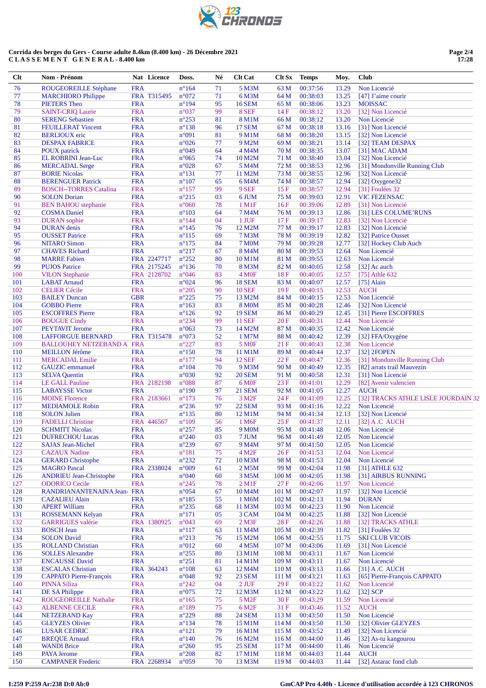| $Cl$ | Nom - Prénom                     |            | Nat Licence | Doss.           | Né | <b>Clt Cat</b>     | <b>Clt Sx</b>    | <b>Temps</b> | Moy.  | <b>Club</b>                         |
|------|----------------------------------|------------|-------------|-----------------|----|--------------------|------------------|--------------|-------|-------------------------------------|
| 76   | ROUGEOREILLE Stéphane            | <b>FRA</b> |             | $n^{\circ}164$  | 71 | 5 M3M              | 63 M             | 00:37:56     | 13.29 | Non Licencié                        |
| 77   | <b>MARCHIORO</b> Philippe        |            | FRA T315495 | $n^{\circ}072$  | 71 | 6 M3M              | 64 M             | 00:38:03     | 13.25 | [47] $J'$ aime courir               |
| 78   | <b>PIETERS</b> Theo              | <b>FRA</b> |             | $n^{\circ}194$  | 95 | <b>16 SEM</b>      | 65 M             | 00:38:06     | 13.23 | <b>MOISSAC</b>                      |
| 79   | <b>SAINT-CRIQ Laurie</b>         | <b>FRA</b> |             | $n^{\circ}037$  | 99 | 8 SEF              | 14F              | 00:38:12     | 13.20 | [32] Non Licencié                   |
| 80   | <b>SERENG Sebastien</b>          | <b>FRA</b> |             | $n^{\circ}253$  | 81 | 8 M1M              | 66 M             | 00:38:12     | 13.20 | Non Licencié                        |
| 81   | <b>FEUILLERAT Vincent</b>        | <b>FRA</b> |             | $n^{\circ}138$  | 96 | <b>17 SEM</b>      | 67 M             | 00:38:18     | 13.16 | [31] Non Licencié                   |
| 82   | <b>BERLIOUX</b> eric             | <b>FRA</b> |             | n°091           | 81 | 9 M1M              | 68 M             | 00:38:20     | 13.15 | [32] Non Licencié                   |
| 83   |                                  | <b>FRA</b> |             | $n^{\circ}026$  | 77 | 9 M2M              |                  | 00:38:21     | 13.14 |                                     |
|      | <b>DESPAX FABRICE</b>            |            |             |                 |    |                    | 69 M             |              |       | [32] TEAM DESPAX                    |
| 84   | <b>POUX</b> patrick              | <b>FRA</b> |             | n°049           | 64 | 4 M4M              | 70 M             | 00:38:35     | 13.07 | [31] MAC ADAM                       |
| 85   | EL ROBRINI Jean-Luc              | <b>FRA</b> |             | $n^{\circ}065$  | 74 | 10 M2M             | 71 M             | 00:38:40     | 13.04 | [32] Non Licencié                   |
| 86   | <b>MERCADAL Serge</b>            | <b>FRA</b> |             | $n^{\circ}028$  | 67 | 5 M4M              | 72 M             | 00:38:53     | 12.96 | [31] Mondonville Running Club       |
| 87   | <b>BORIE Nicolas</b>             | <b>FRA</b> |             | $n^{\circ}131$  | 77 | 11 M2M             | 73 M             | 00:38:55     | 12.96 | [32] Non Licencié                   |
| 88   | <b>BERENGUER Patrick</b>         | <b>FRA</b> |             | $n^{\circ}107$  | 65 | 6 M4M              | 74 M             | 00:38:57     | 12.94 | [32] Oxygene32                      |
| 89   | <b>BOSCH--TORRES Catalina</b>    | <b>FRA</b> |             | $n^{\circ}157$  | 99 | 9 SEF              | 15F              | 00:38:57     | 12.94 | [31] Foulées 32                     |
| 90   | <b>SOLON</b> Dorian              | <b>FRA</b> |             | $n^{\circ}215$  | 03 | 6 JUM              | 75 M             | 00:39:03     | 12.91 | <b>VIC FEZENSAC</b>                 |
| 91   | <b>BEN BAHOU</b> stephanie       | <b>FRA</b> |             | $n^{\circ}060$  | 78 | 1 M1F              | 16F              | 00:39:06     | 12.89 | [31] Non Licencié                   |
| 92   | <b>COSMA</b> Daniel              | <b>FRA</b> |             | $n^{\circ}103$  | 64 | 7 M4M              | 76 M             | 00:39:13     | 12.86 | [31] LES COLUME'RUNS                |
| 93   | <b>DURAN</b> sophie              | <b>FRA</b> |             | $n^{\circ}$ 144 | 04 | 1 JUF              | 17F              | 00:39:17     | 12.83 | [32] Non Licencié                   |
| 94   | <b>DURAN</b> denis               | <b>FRA</b> |             | $n^{\circ}145$  | 76 | 12 M2M             | 77 M             | 00:39:17     | 12.83 | [32] Non Licencié                   |
| 95   | <b>OUSSET Patrice</b>            | <b>FRA</b> |             | $n^{\circ}115$  | 69 | <b>7 M3M</b>       | 78 M             | 00:39:19     | 12.82 | [32] Patrice Ousset                 |
| 96   | <b>NITARO Simon</b>              | <b>FRA</b> |             | $n^{\circ}175$  | 84 | <b>7 M0M</b>       | 79 M             | 00:39:28     | 12.77 | [32] Hockey Club Auch               |
| 97   | <b>CHAVES</b> Richard            | <b>FRA</b> |             | $n^{\circ}217$  | 67 | 8 M4M              | 80 M             | 00:39:53     | 12.64 | Non Licencié                        |
| 98   | <b>MARRE Fabien</b>              |            | FRA 2247717 | $n^{\circ}252$  | 80 | 10 M1M             | 81 M             | 00:39:55     | 12.63 | Non Licencié                        |
| 99   | <b>PUJOS Patrice</b>             |            | FRA 2175245 | $n^{\circ}136$  | 70 | 8 M3M              | 82 M             | 00:40:05     | 12.58 | [32] Ac auch                        |
| 100  | <b>VILON Stephanie</b>           |            | FRA 2128702 | $n^{\circ}046$  | 83 | 4 M <sub>OF</sub>  | 18F              | 00:40:05     | 12.57 | [75] Athle $632$                    |
| 101  | <b>LABAT</b> Arnaud              | <b>FRA</b> |             | n°024           | 96 | <b>18 SEM</b>      | 83 M             | 00:40:07     | 12.57 | $[75]$ Alain                        |
| 102  | <b>CELIER Cécile</b>             | <b>FRA</b> |             | $n^{\circ}205$  | 90 | <b>10 SEF</b>      | 19F              | 00:40:15     | 12.53 | <b>AUCH</b>                         |
| 103  | <b>BAILEY Duncan</b>             | <b>GBR</b> |             | $n^{\circ}225$  | 75 | 13 M2M             | 84 M             | 00:40:15     | 12.53 | Non Licencié                        |
| 104  | <b>GOBBO</b> Pierre              | <b>FRA</b> |             | $n^{\circ}163$  | 83 | <b>8 MOM</b>       | 85 M             | 00:40:28     | 12.46 | [32] Non Licencié                   |
| 105  | <b>ESCOFFRES Pierre</b>          | <b>FRA</b> |             | $n^{\circ}126$  | 92 | <b>19 SEM</b>      | 86 M             | 00:40:29     | 12.45 | [31] Pierre ESCOFFRES               |
| 106  | <b>BOUGUE Cindy</b>              | <b>FRA</b> |             | $n^{\circ}234$  | 99 | <b>11 SEF</b>      | 20F              | 00:40:31     | 12.44 | Non Licencié                        |
| 107  | PEYTAVIT Jerome                  | <b>FRA</b> |             | $n^{\circ}063$  | 73 | 14 M2M             | 87 M             | 00:40:35     | 12.42 | Non Licencié                        |
| 108  | <b>LAFFORGUE BERNARD</b>         |            | FRA T315478 | n°073           | 52 | 1 M7M              | 88 M             | 00:40:42     | 12.39 | [32] FFA/Oxygène                    |
| 109  | <b>BALLOUHEY NETZEBAND A FRA</b> |            |             | $n^{\circ}227$  | 83 | <b>5 MOF</b>       | 21F              | 00:40:43     | 12.38 | Non Licencié                        |
| 110  | <b>MEILLON Jérôme</b>            | <b>FRA</b> |             | $n^{\circ}150$  | 78 | 11 M1M             | 89 M             | 00:40:44     | 12.37 | [32] 2FOPEN                         |
| 111  | <b>MERCADAL Emilie</b>           | <b>FRA</b> |             | $n^{\circ}177$  | 94 | <b>12 SEF</b>      | 22F              | 00:40:47     | 12.36 | [31] Mondonville Running Club       |
| 112  | GAUZIC emmanuel                  | <b>FRA</b> |             | $n^{\circ}104$  | 70 | 9 M3M              | 90 M             | 00:40:49     | 12.35 | [82] arrats trail Mauvezin          |
| 113  | <b>SELVA Quentin</b>             | <b>FRA</b> |             | $n^{\circ}030$  | 92 | <b>20 SEM</b>      | 91 M             | 00:40:58     | 12.31 | [31] Non Licencié                   |
| 114  | <b>LE GALL Pauline</b>           |            | FRA 2182198 | $n^{\circ}088$  | 87 | 6 M <sub>OF</sub>  | 23F              | 00:41:01     | 12.29 | [82] Avenir valencien               |
| 115  | <b>LABAYSSE Victor</b>           | <b>FRA</b> |             | $n^{\circ}190$  | 97 | <b>21 SEM</b>      | 92 M             | 00:41:05     | 12.27 | <b>AUCH</b>                         |
| 116  | <b>MOINE</b> Florence            |            | FRA 2183661 | $n^{\circ}173$  | 76 | 3 M <sub>2F</sub>  | 24 F             | 00:41:09     | 12.25 | [32] TRACKS ATHLE LISLE JOURDAIN 32 |
| 117  | <b>MEDIAMOLE Robin</b>           | <b>FRA</b> |             | $n^{\circ}236$  | 97 | <b>22 SEM</b>      | 93 M             | 00:41:16     | 12.22 | Non Licencié                        |
| 118  | <b>SOLON Julien</b>              | <b>FRA</b> |             | $n^{\circ}135$  | 80 | 12 M1M             | 94 M             | 00:41:34     | 12.13 | [32] Non Licencié                   |
| 119  |                                  |            | FRA 446567  | $n^{\circ}109$  | 56 |                    | 25F              | 00:41:37     | 12.11 |                                     |
|      | <b>FADELLI</b> Christine         |            |             |                 |    | 1 M <sub>6</sub> F |                  | 00:41:48     |       | $[32]$ A.C AUCH                     |
| 120  | <b>SCHMITT Nicolas</b>           | <b>FRA</b> |             | $n^{\circ}257$  | 85 | 9 M <sub>0</sub> M | 95 M             |              | 12.06 | Non Licencié                        |
| 121  | <b>DUFRECHOU Lucas</b>           | <b>FRA</b> |             | $n^{\circ}240$  | 03 | 7 JUM              | 96 M             | 00:41:49     | 12.05 | Non Licencié                        |
| 122  | <b>SAJAS Jean-Michel</b>         | <b>FRA</b> |             | $n^{\circ}239$  | 67 | 9 M4M              | 97 M             | 00:41:50     | 12.05 | Non Licencié                        |
| 123  | <b>CAZAUX Nadine</b>             | <b>FRA</b> |             | $n^{\circ}181$  | 75 | 4 M2F              | 26F              | 00:41:53     | 12.04 | Non Licencié                        |
| 124  | <b>GERARD Christophe</b>         | <b>FRA</b> |             | $n^{\circ}232$  | 72 | 10 M3M             | 98 M             | 00:41:53     | 12.04 | Non Licencié                        |
| 125  | <b>MAGRO Pascal</b>              |            | FRA 2338024 | n°009           | 61 | 2 M5M              | 99 M             | 00:42:04     | 11.98 | [31] ATHLE 632                      |
| 126  | <b>ANDRIEU Jean-Christophe</b>   | <b>FRA</b> |             | $n^{\circ}040$  | 60 | 3 M5M              | 100 <sub>M</sub> | 00:42:05     | 11.98 | [31] AIRBUS RUNNING                 |
| 127  | <b>ODORICO</b> Cecile            | <b>FRA</b> |             | $n^{\circ}245$  | 78 | $2$ M1F            | 27F              | 00:42:06     | 11.97 | Non Licencié                        |
| 128  | RANDRIANANTENAINA Jean- FRA      |            |             | $n^{\circ}054$  | 67 | 10 M4M             | 101 M            | 00:42:07     | 11.97 | [32] Non Licencié                   |
| 129  | <b>CAZALIEU Alain</b>            | <b>FRA</b> |             | $n^{\circ}185$  | 55 | 1 M6M              | 102 M            | 00:42:13     | 11.94 | <b>DURAN</b>                        |
| 130  | <b>APERT William</b>             | <b>FRA</b> |             | $n^{\circ}235$  | 68 | 11 M3M             | 103 M            | 00:42:23     | 11.90 | Non Licencié                        |
| 131  | <b>ROSSEMANN Kelyan</b>          | <b>FRA</b> |             | $n^{\circ}171$  | 05 | 3 CAM              | 104 M            | 00:42:25     | 11.88 | [32] Non Licencié                   |
| 132  | <b>GARRIGUES</b> valérie         |            | FRA 1380925 | n°043           | 69 | $2$ M $3F$         | 28F              | 00:42:26     | 11.88 | [32] TRACKS ATHLE                   |
| 133  | <b>BOSCH Jean</b>                | <b>FRA</b> |             | $n^{\circ}117$  | 63 | 11 M4M             | 105 M            | 00:42:39     | 11.82 | [31] Foulées 32                     |
| 134  | <b>SOLON</b> David               | <b>FRA</b> |             | $n^{\circ}213$  | 76 | 15 M2M             | 106 <sub>M</sub> | 00:42:55     | 11.75 | <b>SKI CLUB VICOIS</b>              |
| 135  | <b>ROLLAND Christian</b>         | <b>FRA</b> |             | $n^{\circ}012$  | 60 | 4 M5M              | 107 <sub>M</sub> | 00:43:06     | 11.69 | [31] Non Licencié                   |
| 136  | <b>SOLLES Alexandre</b>          | <b>FRA</b> |             | $n^{\circ}255$  | 80 | 13 M1M             | 108 M            | 00:43:11     | 11.67 | Non Licencié                        |
| 137  | <b>ENCAUSSE David</b>            | <b>FRA</b> |             | $n^{\circ}251$  | 81 | 14 M1M             | 109 M            | 00:43:11     | 11.67 | Non Licencié                        |
| 138  | <b>ESCALAS</b> Christian         |            | FRA 364243  | $n^{\circ}108$  | 63 | 12 M4M             | 110 <sub>M</sub> | 00:43:13     | 11.66 | [31] A.C AUCH                       |
| 139  | <b>CAPPATO Pierre-François</b>   | <b>FRA</b> |             | n°048           | 92 | <b>23 SEM</b>      | 111 M            | 00:43:21     | 11.63 | [65] Pierre-François CAPPATO        |
| 140  | <b>PINNA Siliza</b>              | <b>FRA</b> |             | $n^{\circ}242$  | 04 | $2$ JUF            | 29F              | 00:43:22     | 11.62 | Non Licencié                        |
| 141  | DE SA Philippe                   | <b>FRA</b> |             | $n^{\circ}075$  | 72 | 12 M3M             | 112 M            | 00:43:22     | 11.62 | $[32]$ SCP                          |
| 142  | ROUGEOREILLE Nathalie            | <b>FRA</b> |             | $n^{\circ}165$  | 75 | 5 M <sub>2F</sub>  | 30F              | 00:43:29     | 11.59 | Non Licencié                        |
| 143  | <b>ALBENNE CECILE</b>            | <b>FRA</b> |             | $n^{\circ}189$  | 75 | 6 M <sub>2F</sub>  | 31 F             | 00:43:46     | 11.52 | <b>AUCH</b>                         |
| 144  | <b>NETZEBAND Kay</b>             | <b>FRA</b> |             | $n^{\circ}229$  | 88 | <b>24 SEM</b>      | 113 M            | 00:43:50     | 11.50 | Non Licencié                        |
| 145  | <b>GLEYZES</b> Olivier           | <b>FRA</b> |             | $n^{\circ}134$  | 78 | 15 M1M             | 114M             | 00:43:50     | 11.50 | [32] Olivier GLEYZES                |
| 146  | <b>LUSAR CEDRIC</b>              | <b>FRA</b> |             | $n^{\circ}121$  | 79 | 16 M1M             | 115 M            | 00:43:52     | 11.49 | [32] Non Licencié                   |
| 147  | <b>BREQUE Arnaud</b>             | <b>FRA</b> |             | $n^{\circ}140$  | 76 | 16 M2M             | 116 M            | 00:44:00     | 11.46 | [32] As-tu kangourou                |
| 148  | <b>WANDI Brice</b>               | <b>FRA</b> |             | $n^{\circ}260$  | 95 | <b>25 SEM</b>      | 117 M            | 00:44:00     | 11.46 | Non Licencié                        |
| 149  | PAYA Jerome                      | <b>FRA</b> |             | $n^{\circ}208$  | 82 | 17 M1M             | 118 M            | 00:44:03     | 11.44 | <b>AUCH</b>                         |
| 150  | <b>CAMPANER Frederic</b>         |            | FRA 2268934 | $n^{\circ}059$  | 70 | 13 M3M             | 119 <sub>M</sub> | 00:44:03     | 11.44 | [32] Astarac fond club              |
|      |                                  |            |             |                 |    |                    |                  |              |       |                                     |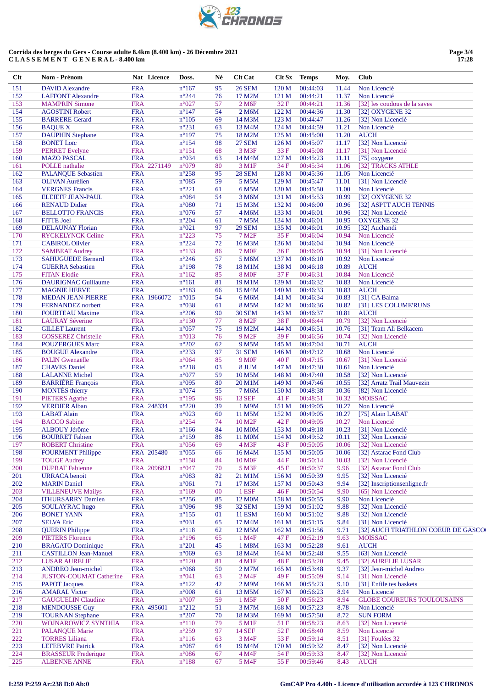| FJ 1 1 1<br>U |
|---------------|
|               |

| Clt        | Nom - Prénom                                         |                          | Nat Licence | Doss.                            | Né       | <b>Clt Cat</b>         | <b>Clt Sx</b>    | <b>Temps</b>         | Moy.           | <b>Club</b>                                 |
|------------|------------------------------------------------------|--------------------------|-------------|----------------------------------|----------|------------------------|------------------|----------------------|----------------|---------------------------------------------|
| 151        | <b>DAVID Alexandre</b>                               | <b>FRA</b>               |             | $n^{\circ}167$                   | 95       | <b>26 SEM</b>          | 120 M            | 00:44:03             | 11.44          | Non Licencié                                |
| 152        | <b>LAFFONT Alexandre</b>                             | <b>FRA</b>               |             | $n^{\circ}244$                   | 76       | 17 M2M                 | 121 M            | 00:44:21             | 11.37          | Non Licencié                                |
| 153        | <b>MAMPRIN Simone</b>                                | <b>FRA</b>               |             | $n^{\circ}027$                   | 57       | 2 M6F                  | 32F              | 00:44:21             | 11.36          | [32] les coudous de la saves                |
| 154        | <b>AGOSTINI Robert</b>                               | <b>FRA</b>               |             | $n^{\circ}147$                   | 54       | 2 M6M                  | 122 M            | 00:44:36             | 11.30          | [32] OXYGENE 32                             |
| 155        | <b>BARRERE Gerard</b>                                | <b>FRA</b>               |             | $n^{\circ}105$                   | 69       | 14 M3M                 | 123 M            | 00:44:47             | 11.26          | [32] Non Licencié                           |
| 156        | <b>BAQUE X</b>                                       | <b>FRA</b>               |             | $n^{\circ}231$                   | 63       | 13 M4M                 | 124 M            | 00:44:59             | 11.21          | Non Licencié                                |
| 157        | <b>DAUPHIN Stephane</b>                              | <b>FRA</b>               |             | $n^{\circ}197$                   | 75       | 18 M2M                 | 125 M            | 00:45:00             | 11.20          | <b>AUCH</b>                                 |
| 158<br>159 | <b>BONET</b> Loïc                                    | <b>FRA</b><br><b>FRA</b> |             | $n^{\circ}154$<br>$n^{\circ}151$ | 98<br>68 | <b>27 SEM</b><br>3 M3F | 126 M<br>33 F    | 00:45:07<br>00:45:08 | 11.17<br>11.17 | [32] Non Licencié<br>[31] Non Licencié      |
| 160        | <b>PERRET</b> Evelyne<br><b>MAZO PASCAL</b>          | <b>FRA</b>               |             | $n^{\circ}034$                   | 63       | 14 M4M                 | 127 M            | 00:45:23             | 11.11          | [75] oxygene                                |
| 161        | <b>POLLE</b> nathalie                                |                          | FRA 2271149 | n°079                            | 80       | 3 M1F                  | 34 F             | 00:45:34             | 11.06          | [32] TRACKS ATHLE                           |
| 162        | <b>PALANOUE Sebastien</b>                            | <b>FRA</b>               |             | $n^{\circ}258$                   | 95       | <b>28 SEM</b>          | 128 M            | 00:45:36             | 11.05          | Non Licencié                                |
| 163        | <b>OLIVAN</b> Aurélien                               | <b>FRA</b>               |             | $n^{\circ}085$                   | 59       | 5 M5M                  | 129 M            | 00:45:47             | 11.01          | [31] Non Licencié                           |
| 164        | <b>VERGNES</b> Francis                               | <b>FRA</b>               |             | $n^{\circ}221$                   | 61       | 6 M5M                  | 130 M            | 00:45:50             | 11.00          | Non Licencié                                |
| 165        | <b>ELEIEFF JEAN-PAUL</b>                             | <b>FRA</b>               |             | $n^{\circ}084$                   | 54       | 3 M6M                  | 131 M            | 00:45:53             | 10.99          | [32] OXYGENE 32                             |
| 166        | <b>RENAUD Didier</b>                                 | <b>FRA</b>               |             | $n^{\circ}080$                   | 71       | 15 M3M                 | 132 M            | 00:46:00             | 10.96          | [32] ASPTT AUCH TENNIS                      |
| 167        | <b>BELLOTTO FRANCIS</b>                              | <b>FRA</b>               |             | $n^{\circ}076$                   | 57       | 4 M6M                  | 133 M            | 00:46:01             | 10.96          | [32] Non Licencié                           |
| 168        | <b>FITTE Joel</b>                                    | <b>FRA</b>               |             | $n^{\circ}204$                   | 61       | 7 M5M                  | 134 M            | 00:46:01             | 10.95          | <b>OXYGENE 32</b>                           |
| 169        | <b>DELAUNAY Florian</b>                              | <b>FRA</b>               |             | $n^{\circ}021$                   | 97       | <b>29 SEM</b>          | 135 M            | 00:46:01             | 10.95          | [32] Auchandi                               |
| 170        | <b>RYCKELYNCK Celine</b>                             | <b>FRA</b>               |             | $n^{\circ}223$                   | 75       | 7 M <sub>2</sub> F     | 35F              | 00:46:04             | 10.94          | Non Licencié                                |
| 171        | <b>CABIROL Olivier</b>                               | <b>FRA</b>               |             | $n^{\circ}224$                   | 72       | 16 M3M                 | 136 M            | 00:46:04             | 10.94          | Non Licencié                                |
| 172        | <b>SAMBEAT Audrey</b>                                | <b>FRA</b>               |             | $n^{\circ}133$                   | 86       | <b>7 MOF</b>           | 36F              | 00:46:05             | 10.94          | [31] Non Licencié                           |
| 173        | <b>SAHUGUEDE Bernard</b>                             | <b>FRA</b>               |             | $n^{\circ}246$                   | 57       | 5 M6M                  | 137 M            | 00:46:10             | 10.92          | Non Licencié                                |
| 174        | <b>GUERRA</b> Sebastien                              | <b>FRA</b>               |             | $n^{\circ}$ 198                  | 78       | 18 M1M                 | 138 M            | 00:46:18             | 10.89          | <b>AUCH</b>                                 |
| 175        | <b>FITAN Elodie</b>                                  | <b>FRA</b>               |             | $n^{\circ}162$                   | 85       | <b>8 MOF</b>           | 37F              | 00:46:31             | 10.84          | Non Licencié                                |
| 176        | <b>DAURIGNAC Guillaume</b>                           | <b>FRA</b>               |             | $n^{\circ}161$                   | 81       | 19 M1M                 | 139 M            | 00:46:32             | 10.83          | Non Licencié                                |
| 177        | <b>MAGNIE HERVE</b>                                  | <b>FRA</b>               |             | $n^{\circ}183$                   | 66       | 15 M4M                 | 140 M            | 00:46:33<br>00:46:34 | 10.83          | <b>AUCH</b>                                 |
| 178<br>179 | <b>MEDAN JEAN-PIERRE</b><br><b>FERNANDEZ</b> norbert | <b>FRA</b>               | FRA 1966072 | $n^{\circ}015$<br>n°038          | 54<br>61 | 6 M6M<br>8 M5M         | 141 M<br>142 M   | 00:46:36             | 10.83<br>10.82 | [31] CA Balma<br>[31] LES COLUME'RUNS       |
| 180        | <b>FOURTEAU Maxime</b>                               | <b>FRA</b>               |             | $n^{\circ}206$                   | 90       | <b>30 SEM</b>          | 143 M            | 00:46:37             | 10.81          | <b>AUCH</b>                                 |
| 181        | <b>LAURAY Séverine</b>                               | <b>FRA</b>               |             | $n^{\circ}130$                   | 77       | 8 M <sub>2F</sub>      | 38F              | 00:46:44             | 10.79          | [32] Non Licencié                           |
| 182        | <b>GILLET</b> Laurent                                | <b>FRA</b>               |             | $n^{\circ}057$                   | 75       | 19 M2M                 | 144 M            | 00:46:51             | 10.76          | [31] Team Ali Belkacem                      |
| 183        | <b>GOSSEREZ Christelle</b>                           | <b>FRA</b>               |             | n°013                            | 76       | 9 M <sub>2F</sub>      | 39F              | 00:46:56             | 10.74          | [32] Non Licencié                           |
| 184        | <b>POUZERGUES Marc</b>                               | <b>FRA</b>               |             | $n^{\circ}202$                   | 62       | 9 M5M                  | 145 M            | 00:47:04             | 10.71          | <b>AUCH</b>                                 |
| 185        | <b>BOUGUE Alexandre</b>                              | <b>FRA</b>               |             | $n^{\circ}233$                   | 97       | 31 SEM                 | 146 M            | 00:47:12             | 10.68          | Non Licencié                                |
| 186        | <b>PALIN</b> Gwenaëlle                               | <b>FRA</b>               |             | $n^{\circ}064$                   | 85       | <b>9 MOF</b>           | 40 F             | 00:47:15             | 10.67          | [31] Non Licencié                           |
| 187        | <b>CHAVES</b> Daniel                                 | <b>FRA</b>               |             | $n^{\circ}218$                   | 03       | 8 JUM                  | 147 M            | 00:47:30             | 10.61          | Non Licencié                                |
| 188        | <b>LALANNE</b> Michel                                | <b>FRA</b>               |             | $n^{\circ}077$                   | 59       | 10 M5M                 | 148 M            | 00:47:40             | 10.58          | [32] Non Licencié                           |
| 189        | <b>BARRIÈRE</b> François                             | <b>FRA</b>               |             | n°095                            | 80       | 20 M1M                 | 149 M            | 00:47:46             | 10.55          | [32] Arratz Trail Mauvezin                  |
| 190        | <b>MONTÈS</b> thierry                                | <b>FRA</b>               |             | n°074                            | 55       | 7 M6M                  | 150 M            | 00:48:38             | 10.36          | [82] Non Licencié                           |
| 191        | <b>PIETERS</b> Agathe                                | <b>FRA</b>               |             | $n^{\circ}$ 195                  | 96       | <b>13 SEF</b>          | 41 F             | 00:48:51             | 10.32          | <b>MOISSAC</b>                              |
| 192        | <b>VERDIER Alban</b>                                 |                          | FRA 248334  | $n^{\circ}220$                   | 39       | 1 M9M                  | 151 M            | 00:49:05             | 10.27          | Non Licencié                                |
| 193        | <b>LABAT</b> Alain                                   | <b>FRA</b>               |             | $n^{\circ}023$                   | 60       | 11 M5M                 | 152 M            | 00:49:05             | 10.27          | [75] Alain LABAT                            |
| 194        | <b>BACCO</b> Sabine                                  | <b>FRA</b>               |             | $n^{\circ}254$                   | 74       | 10 M <sub>2F</sub>     | 42 F             | 00:49:05             | 10.27          | Non Licencié                                |
| 195        | <b>ALBOUY Jérôme</b>                                 | <b>FRA</b>               |             | $n^{\circ}166$                   | 84       | <b>10 MOM</b>          | 153 M            | 00:49:18             | 10.23          | [31] Non Licencié                           |
| 196        | <b>BOURRET</b> Fabien                                | <b>FRA</b>               |             | $n^{\circ}159$                   | 86       | 11 M0M                 | 154 M            | 00:49:52             | 10.11          | [32] Non Licencié                           |
| 197        | <b>ROBERT Christine</b>                              | <b>FRA</b>               |             | $n^{\circ}056$                   | 69       | 4 M3F                  | 43 F             | 00:50:05             | 10.06          | [32] Non Licencié                           |
| 198        | <b>FOURMENT Philippe</b>                             |                          | FRA 205480  | $n^{\circ}055$                   | 66       | 16 M4M                 | 155 M            | 00:50:05             | 10.06          | [32] Astarac Fond Club                      |
| 199        | <b>TOUGE Audrey</b>                                  | <b>FRA</b>               |             | $n^{\circ}158$                   | 84       | <b>10 MOF</b>          | 44 F             | 00:50:14             | 10.03          | [32] Non Licencié                           |
| 200        | <b>DUPRAT Fabienne</b>                               |                          | FRA 2096821 | $n^{\circ}047$                   | 70       | 5 M3F                  | 45 F             | 00:50:37             | 9.96           | [32] Astarac Fond Club<br>[32] Non Licencié |
| 201<br>202 | <b>URRACA</b> benoit<br><b>MARIN</b> Daniel          | <b>FRA</b><br><b>FRA</b> |             | $n^{\circ}083$<br>$n^{\circ}061$ | 82<br>71 | 21 M1M<br>17 M3M       | 156M             | 00:50:39<br>00:50:43 | 9.95<br>9.94   | [32] Inscriptionsenligne.fr                 |
| 203        | <b>VILLENEUVE Mailys</b>                             | <b>FRA</b>               |             | $n^{\circ}169$                   | 00       | 1 ESF                  | 157 M<br>46F     | 00:50:54             |                | [65] Non Licencié                           |
| 204        | <b>ITHURSARRY Damien</b>                             | <b>FRA</b>               |             | $n^{\circ}256$                   | 85       | 12 M <sub>0</sub> M    | 158 M            | 00:50:55             | 9.90<br>9.90   | Non Licencié                                |
| 205        | SOULAYRAC hugo                                       | <b>FRA</b>               |             | n°096                            | 98       | 32 SEM                 | 159M             | 00:51:02             | 9.88           | [32] Non Licencié                           |
| 206        | <b>BONET YANN</b>                                    | <b>FRA</b>               |             | $n^{\circ}155$                   | 01       | <b>11 ESM</b>          | 160 <sub>M</sub> | 00:51:02             | 9.88           | [32] Non Licencié                           |
| 207        | <b>SELVA Eric</b>                                    | <b>FRA</b>               |             | $n^{\circ}031$                   | 65       | 17 M4M                 | 161 M            | 00:51:15             | 9.84           | [31] Non Licencié                           |
| 208        | <b>QUERIN Philippe</b>                               | <b>FRA</b>               |             | $n^{\circ}118$                   | 62       | 12 M5M                 | 162 M            | 00:51:56             | 9.71           | [32] AUCH TRIATHLON COEUR DE GASCO          |
| 209        | <b>PIETERS Florence</b>                              | <b>FRA</b>               |             | $n^{\circ}$ 196                  | 65       | 1 M4F                  | 47 F             | 00:52:19             | 9.63           | <b>MOISSAC</b>                              |
| 210        | <b>BRAGATO Dominique</b>                             | <b>FRA</b>               |             | $n^{\circ}201$                   | 45       | 1 M8M                  | 163 M            | 00:52:28             | 9.61           | <b>AUCH</b>                                 |
| 211        | <b>CASTILLON Jean-Manuel</b>                         | <b>FRA</b>               |             | $n^{\circ}069$                   | 63       | 18 M4M                 | 164M             | 00:52:48             | 9.55           | [63] Non Licencié                           |
| 212        | <b>LUSAR AURELIE</b>                                 | <b>FRA</b>               |             | $n^{\circ}120$                   | 81       | $4 \,\mathrm{M1F}$     | 48 F             | 00:53:20             | 9.45           | [32] AURELIE LUSAR                          |
| 213        | <b>ANDREO Jean-michel</b>                            | <b>FRA</b>               |             | $n^{\circ}068$                   | 50       | 2 M7M                  | 165 <sub>M</sub> | 00:53:48             | 9.37           | [32] Jean-michel Andreo                     |
| 214        | <b>JUSTON-COUMAT Catherine</b>                       | <b>FRA</b>               |             | n°041                            | 63       | 2 M4F                  | 49 F             | 00:55:09             | 9.14           | [31] Non Licencié                           |
| 215        | <b>PAPOT Jacques</b>                                 | <b>FRA</b>               |             | $n^{\circ}122$                   | 42       | 2 M9M                  | 166 M            | 00:55:23             | 9.10           | [31] Enfile tes baskets                     |
| 216        | <b>AMARAL Victor</b>                                 | <b>FRA</b>               |             | $n^{\circ}008$                   | 61       | 13 M5M                 | 167 <sub>M</sub> | 00:56:23             | 8.94           | Non Licencié                                |
| 217        | <b>GAUGUELIN Claudine</b>                            | <b>FRA</b>               |             | $n^{\circ}007$                   | 59       | 1 M5F                  | 50 F             | 00:56:23             | 8.94           | <b>GLOBE COUREURS TOULOUSAINS</b>           |
| 218        | <b>MENDOUSSE Guy</b>                                 |                          | FRA 495601  | $n^{\circ}212$                   | 51       | 3 M7M                  | 168 <sub>M</sub> | 00:57:23             | 8.78           | Non Licencié                                |
| 219        | <b>TOURNAN Stephane</b>                              | <b>FRA</b>               |             | $n^{\circ}207$                   | 70       | 18 M3M                 | 169 <sub>M</sub> | 00:57:50             | 8.72           | <b>SUN FORM</b>                             |
| 220        | WOJNAROWICZ SYNTHIA                                  | <b>FRA</b>               |             | $n^{\circ}110$                   | 79       | 5 M1F                  | 51 F             | 00:58:23             | 8.63           | [32] Non Licencié                           |
| 221        | <b>PALANQUE Marie</b>                                | <b>FRA</b>               |             | $n^{\circ}259$                   | 97       | <b>14 SEF</b>          | 52F              | 00:58:40             | 8.59           | Non Licencié                                |
| 222        | <b>TORRES Liliana</b>                                | <b>FRA</b>               |             | $n^{\circ}116$                   | 63       | 3 M4F                  | 53 F             | 00:59:14             | 8.51           | [31] Foulées 32                             |
| 223        | <b>LEFEBVRE</b> Patrick                              | <b>FRA</b>               |             | $n^{\circ}087$                   | 64       | 19 M4M                 | 170 M            | 00:59:32             | 8.47           | [32] Non Licencié                           |
| 224        | <b>BRASSEUR</b> Frederique                           | <b>FRA</b>               |             | $n^{\circ}086$                   | 67       | 4 M4F                  | 54 F             | 00:59:33             | 8.47           | [32] Non Licencié                           |
| 225        | <b>ALBENNE ANNE</b>                                  | <b>FRA</b>               |             | $n^{\circ}188$                   | 67       | 5 M4F                  | 55 F             | 00:59:46             | 8.43           | <b>AUCH</b>                                 |

# **I:259 P:259 Ar:238 D:0 Ab:0 GmCAP Pro 4.40h - Licence d'utilisation accordée à 123 CHRONOS**